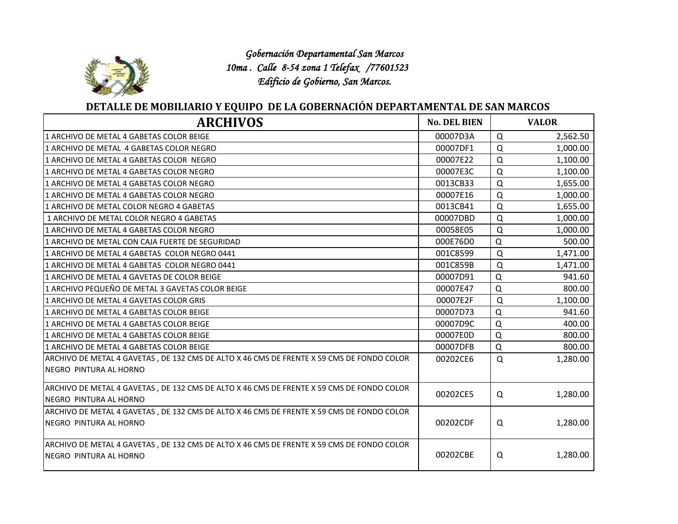

 *Gobernación Departamental San Marcos 10ma . Calle 8-54 zona 1 Telefax /77601523 Edificio de Gobierno, San Marcos.*

## **DETALLE DE MOBILIARIO Y EQUIPO DE LA GOBERNACIÓN DEPARTAMENTAL DE SAN MARCOS**

| <b>ARCHIVOS</b>                                                                                                      | <b>No. DEL BIEN</b> | <b>VALOR</b>         |
|----------------------------------------------------------------------------------------------------------------------|---------------------|----------------------|
| 1 ARCHIVO DE METAL 4 GABETAS COLOR BEIGE                                                                             | 00007D3A            | $\Omega$<br>2,562.50 |
| 1 ARCHIVO DE METAL 4 GABETAS COLOR NEGRO                                                                             | 00007DF1            | $\Omega$<br>1,000.00 |
| 1 ARCHIVO DE METAL 4 GABETAS COLOR NEGRO                                                                             | 00007E22            | $\Omega$<br>1,100.00 |
| 1 ARCHIVO DE METAL 4 GABETAS COLOR NEGRO                                                                             | 00007E3C            | $\Omega$<br>1,100.00 |
| 1 ARCHIVO DE METAL 4 GABETAS COLOR NEGRO                                                                             | 0013CB33            | $\Omega$<br>1,655.00 |
| 1 ARCHIVO DE METAL 4 GABETAS COLOR NEGRO                                                                             | 00007E16            | $\Omega$<br>1,000.00 |
| 1 ARCHIVO DE METAL COLOR NEGRO 4 GABETAS                                                                             | 0013CB41            | Q<br>1,655.00        |
| 1 ARCHIVO DE METAL COLOR NEGRO 4 GABETAS                                                                             | 00007DBD            | $\Omega$<br>1,000.00 |
| 1 ARCHIVO DE METAL 4 GABETAS COLOR NEGRO                                                                             | 00058E05            | Q<br>1,000.00        |
| 1 ARCHIVO DE METAL CON CAJA FUERTE DE SEGURIDAD                                                                      | 000E76D0            | $\Omega$<br>500.00   |
| 1 ARCHIVO DE METAL 4 GABETAS COLOR NEGRO 0441                                                                        | 001C8599            | $\Omega$<br>1,471.00 |
| 1 ARCHIVO DE METAL 4 GABETAS COLOR NEGRO 0441                                                                        | 001C859B            | $\Omega$<br>1,471.00 |
| 1 ARCHIVO DE METAL 4 GAVETAS DE COLOR BEIGE                                                                          | 00007D91            | $\Omega$<br>941.60   |
| 1 ARCHIVO PEQUEÑO DE METAL 3 GAVETAS COLOR BEIGE                                                                     | 00007E47            | $\Omega$<br>800.00   |
| 1 ARCHIVO DE METAL 4 GAVETAS COLOR GRIS                                                                              | 00007E2F            | $\Omega$<br>1,100.00 |
| 1 ARCHIVO DE METAL 4 GABETAS COLOR BEIGE                                                                             | 00007D73            | $\Omega$<br>941.60   |
| 1 ARCHIVO DE METAL 4 GABETAS COLOR BEIGE                                                                             | 00007D9C            | $\Omega$<br>400.00   |
| 1 ARCHIVO DE METAL 4 GABETAS COLOR BEIGE                                                                             | 00007E0D            | $\Omega$<br>800.00   |
| 1 ARCHIVO DE METAL 4 GABETAS COLOR BEIGE                                                                             | 00007DFB            | $\Omega$<br>800.00   |
| ARCHIVO DE METAL 4 GAVETAS, DE 132 CMS DE ALTO X 46 CMS DE FRENTE X 59 CMS DE FONDO COLOR<br>NEGRO PINTURA AL HORNO  | 00202CE6            | $\Omega$<br>1,280.00 |
| ARCHIVO DE METAL 4 GAVETAS, DE 132 CMS DE ALTO X 46 CMS DE FRENTE X 59 CMS DE FONDO COLOR<br>NEGRO PINTURA AL HORNO  | 00202CE5            | 1,280.00<br>Q        |
| ARCHIVO DE METAL 4 GAVETAS, DE 132 CMS DE ALTO X 46 CMS DE FRENTE X 59 CMS DE FONDO COLOR<br>INEGRO PINTURA AL HORNO | 00202CDF            | 1,280.00<br>Q        |
| ARCHIVO DE METAL 4 GAVETAS, DE 132 CMS DE ALTO X 46 CMS DE FRENTE X 59 CMS DE FONDO COLOR<br>INEGRO PINTURA AL HORNO | 00202CBE            | 1,280.00<br>Q        |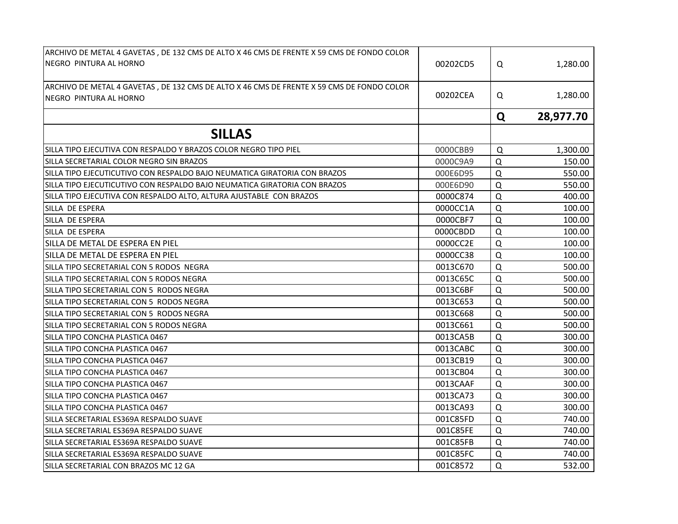| ARCHIVO DE METAL 4 GAVETAS, DE 132 CMS DE ALTO X 46 CMS DE FRENTE X 59 CMS DE FONDO COLOR<br>NEGRO PINTURA AL HORNO | 00202CD5 | Q           | 1,280.00  |
|---------------------------------------------------------------------------------------------------------------------|----------|-------------|-----------|
| ARCHIVO DE METAL 4 GAVETAS, DE 132 CMS DE ALTO X 46 CMS DE FRENTE X 59 CMS DE FONDO COLOR<br>NEGRO PINTURA AL HORNO | 00202CEA | Q           | 1,280.00  |
|                                                                                                                     |          | Q           | 28,977.70 |
| <b>SILLAS</b>                                                                                                       |          |             |           |
| SILLA TIPO EJECUTIVA CON RESPALDO Y BRAZOS COLOR NEGRO TIPO PIEL                                                    | 0000CBB9 | Q           | 1,300.00  |
| SILLA SECRETARIAL COLOR NEGRO SIN BRAZOS                                                                            | 0000C9A9 | $\Omega$    | 150.00    |
| SILLA TIPO EJECUTICUTIVO CON RESPALDO BAJO NEUMATICA GIRATORIA CON BRAZOS                                           | 000E6D95 | $\Omega$    | 550.00    |
| SILLA TIPO EJECUTICUTIVO CON RESPALDO BAJO NEUMATICA GIRATORIA CON BRAZOS                                           | 000E6D90 | $\Omega$    | 550.00    |
| SILLA TIPO EJECUTIVA CON RESPALDO ALTO, ALTURA AJUSTABLE CON BRAZOS                                                 | 0000C874 | $\Omega$    | 400.00    |
| SILLA DE ESPERA                                                                                                     | 0000CC1A | $\Omega$    | 100.00    |
| SILLA DE ESPERA                                                                                                     | 0000CBF7 | $\Omega$    | 100.00    |
| SILLA DE ESPERA                                                                                                     | 0000CBDD | $\Omega$    | 100.00    |
| SILLA DE METAL DE ESPERA EN PIEL                                                                                    | 0000CC2E | $\Omega$    | 100.00    |
| SILLA DE METAL DE ESPERA EN PIEL                                                                                    | 0000CC38 | Q           | 100.00    |
| SILLA TIPO SECRETARIAL CON 5 RODOS NEGRA                                                                            | 0013C670 | $\Omega$    | 500.00    |
| SILLA TIPO SECRETARIAL CON 5 RODOS NEGRA                                                                            | 0013C65C | Q           | 500.00    |
| SILLA TIPO SECRETARIAL CON 5 RODOS NEGRA                                                                            | 0013C6BF | $\Omega$    | 500.00    |
| SILLA TIPO SECRETARIAL CON 5 RODOS NEGRA                                                                            | 0013C653 | Q           | 500.00    |
| SILLA TIPO SECRETARIAL CON 5 RODOS NEGRA                                                                            | 0013C668 | $\Omega$    | 500.00    |
| SILLA TIPO SECRETARIAL CON 5 RODOS NEGRA                                                                            | 0013C661 | $\Omega$    | 500.00    |
| ISILLA TIPO CONCHA PLASTICA 0467                                                                                    | 0013CA5B | $\Omega$    | 300.00    |
| SILLA TIPO CONCHA PLASTICA 0467                                                                                     | 0013CABC | $\Omega$    | 300.00    |
| SILLA TIPO CONCHA PLASTICA 0467                                                                                     | 0013CB19 | $\mathsf Q$ | 300.00    |
| SILLA TIPO CONCHA PLASTICA 0467                                                                                     | 0013CB04 | $\Omega$    | 300.00    |
| SILLA TIPO CONCHA PLASTICA 0467                                                                                     | 0013CAAF | $\Omega$    | 300.00    |
| SILLA TIPO CONCHA PLASTICA 0467                                                                                     | 0013CA73 | $\Omega$    | 300.00    |
| SILLA TIPO CONCHA PLASTICA 0467                                                                                     | 0013CA93 | $\Omega$    | 300.00    |
| SILLA SECRETARIAL ES369A RESPALDO SUAVE                                                                             | 001C85FD | $\Omega$    | 740.00    |
| SILLA SECRETARIAL ES369A RESPALDO SUAVE                                                                             | 001C85FE | Q           | 740.00    |
| SILLA SECRETARIAL ES369A RESPALDO SUAVE                                                                             | 001C85FB | $\Omega$    | 740.00    |
| SILLA SECRETARIAL ES369A RESPALDO SUAVE                                                                             | 001C85FC | $\Omega$    | 740.00    |
| SILLA SECRETARIAL CON BRAZOS MC 12 GA                                                                               | 001C8572 | $\Omega$    | 532.00    |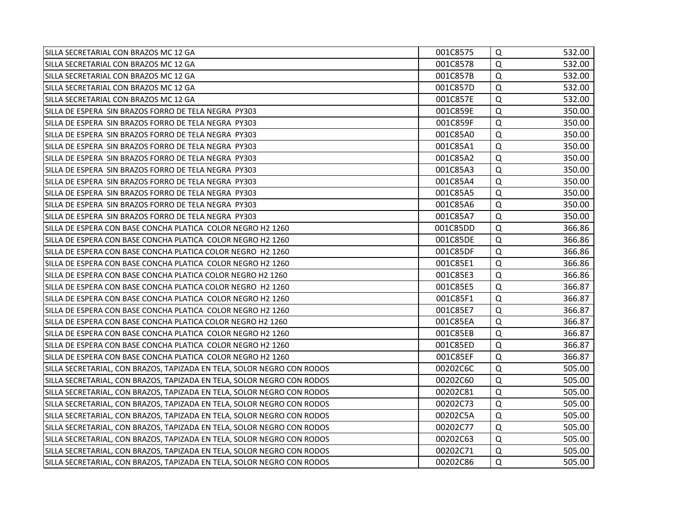| SILLA SECRETARIAL CON BRAZOS MC 12 GA                                  | 001C8575 | Q        | 532.00 |
|------------------------------------------------------------------------|----------|----------|--------|
| SILLA SECRETARIAL CON BRAZOS MC 12 GA                                  | 001C8578 | Q        | 532.00 |
| SILLA SECRETARIAL CON BRAZOS MC 12 GA                                  | 001C857B | Q        | 532.00 |
| SILLA SECRETARIAL CON BRAZOS MC 12 GA                                  | 001C857D | $\Omega$ | 532.00 |
| SILLA SECRETARIAL CON BRAZOS MC 12 GA                                  | 001C857E | Q        | 532.00 |
| SILLA DE ESPERA SIN BRAZOS FORRO DE TELA NEGRA PY303                   | 001C859E | $\Omega$ | 350.00 |
| SILLA DE ESPERA SIN BRAZOS FORRO DE TELA NEGRA PY303                   | 001C859F | Q        | 350.00 |
| ISILLA DE ESPERA SIN BRAZOS FORRO DE TELA NEGRA PY303                  | 001C85A0 | Q        | 350.00 |
| SILLA DE ESPERA SIN BRAZOS FORRO DE TELA NEGRA PY303                   | 001C85A1 | Q        | 350.00 |
| SILLA DE ESPERA SIN BRAZOS FORRO DE TELA NEGRA PY303                   | 001C85A2 | Q        | 350.00 |
| SILLA DE ESPERA SIN BRAZOS FORRO DE TELA NEGRA PY303                   | 001C85A3 | Q        | 350.00 |
| SILLA DE ESPERA SIN BRAZOS FORRO DE TELA NEGRA PY303                   | 001C85A4 | $\Omega$ | 350.00 |
| SILLA DE ESPERA SIN BRAZOS FORRO DE TELA NEGRA PY303                   | 001C85A5 | Q        | 350.00 |
| SILLA DE ESPERA SIN BRAZOS FORRO DE TELA NEGRA PY303                   | 001C85A6 | Q        | 350.00 |
| SILLA DE ESPERA SIN BRAZOS FORRO DE TELA NEGRA PY303                   | 001C85A7 | Q        | 350.00 |
| SILLA DE ESPERA CON BASE CONCHA PLATICA COLOR NEGRO H2 1260            | 001C85DD | $\Omega$ | 366.86 |
| SILLA DE ESPERA CON BASE CONCHA PLATICA COLOR NEGRO H2 1260            | 001C85DE | $\Omega$ | 366.86 |
| SILLA DE ESPERA CON BASE CONCHA PLATICA COLOR NEGRO H2 1260            | 001C85DF | Q        | 366.86 |
| SILLA DE ESPERA CON BASE CONCHA PLATICA COLOR NEGRO H2 1260            | 001C85E1 | $\Omega$ | 366.86 |
| SILLA DE ESPERA CON BASE CONCHA PLATICA COLOR NEGRO H2 1260            | 001C85E3 | Q        | 366.86 |
| SILLA DE ESPERA CON BASE CONCHA PLATICA COLOR NEGRO H2 1260            | 001C85E5 | Q        | 366.87 |
| SILLA DE ESPERA CON BASE CONCHA PLATICA COLOR NEGRO H2 1260            | 001C85F1 | Q        | 366.87 |
| SILLA DE ESPERA CON BASE CONCHA PLATICA COLOR NEGRO H2 1260            | 001C85E7 | $\Omega$ | 366.87 |
| SILLA DE ESPERA CON BASE CONCHA PLATICA COLOR NEGRO H2 1260            | 001C85EA | Q        | 366.87 |
| SILLA DE ESPERA CON BASE CONCHA PLATICA COLOR NEGRO H2 1260            | 001C85EB | $\Omega$ | 366.87 |
| SILLA DE ESPERA CON BASE CONCHA PLATICA COLOR NEGRO H2 1260            | 001C85ED | $\Omega$ | 366.87 |
| SILLA DE ESPERA CON BASE CONCHA PLATICA COLOR NEGRO H2 1260            | 001C85EF | $\Omega$ | 366.87 |
| SILLA SECRETARIAL, CON BRAZOS, TAPIZADA EN TELA, SOLOR NEGRO CON RODOS | 00202C6C | Q        | 505.00 |
| SILLA SECRETARIAL, CON BRAZOS, TAPIZADA EN TELA, SOLOR NEGRO CON RODOS | 00202C60 | Q        | 505.00 |
| SILLA SECRETARIAL, CON BRAZOS, TAPIZADA EN TELA, SOLOR NEGRO CON RODOS | 00202C81 | $\Omega$ | 505.00 |
| SILLA SECRETARIAL, CON BRAZOS, TAPIZADA EN TELA, SOLOR NEGRO CON RODOS | 00202C73 | Q        | 505.00 |
| SILLA SECRETARIAL, CON BRAZOS, TAPIZADA EN TELA, SOLOR NEGRO CON RODOS | 00202C5A | Q        | 505.00 |
| SILLA SECRETARIAL, CON BRAZOS, TAPIZADA EN TELA, SOLOR NEGRO CON RODOS | 00202C77 | Q        | 505.00 |
| SILLA SECRETARIAL, CON BRAZOS, TAPIZADA EN TELA, SOLOR NEGRO CON RODOS | 00202C63 | Q        | 505.00 |
| SILLA SECRETARIAL, CON BRAZOS, TAPIZADA EN TELA, SOLOR NEGRO CON RODOS | 00202C71 | Q        | 505.00 |
| SILLA SECRETARIAL, CON BRAZOS, TAPIZADA EN TELA, SOLOR NEGRO CON RODOS | 00202C86 | Q        | 505.00 |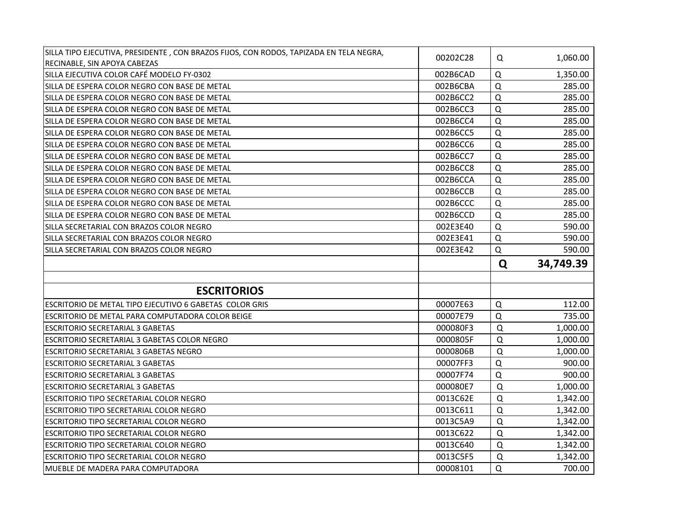| SILLA TIPO EJECUTIVA, PRESIDENTE, CON BRAZOS FIJOS, CON RODOS, TAPIZADA EN TELA NEGRA,<br>RECINABLE, SIN APOYA CABEZAS | 00202C28 | Q           | 1,060.00  |
|------------------------------------------------------------------------------------------------------------------------|----------|-------------|-----------|
| SILLA EJECUTIVA COLOR CAFÉ MODELO FY-0302                                                                              | 002B6CAD | $\Omega$    | 1,350.00  |
| SILLA DE ESPERA COLOR NEGRO CON BASE DE METAL                                                                          | 002B6CBA | $\Omega$    | 285.00    |
| SILLA DE ESPERA COLOR NEGRO CON BASE DE METAL                                                                          | 002B6CC2 | Q           | 285.00    |
| SILLA DE ESPERA COLOR NEGRO CON BASE DE METAL                                                                          | 002B6CC3 | Q           | 285.00    |
| SILLA DE ESPERA COLOR NEGRO CON BASE DE METAL                                                                          | 002B6CC4 | Q           | 285.00    |
| SILLA DE ESPERA COLOR NEGRO CON BASE DE METAL                                                                          | 002B6CC5 | $\Omega$    | 285.00    |
| SILLA DE ESPERA COLOR NEGRO CON BASE DE METAL                                                                          | 002B6CC6 | Q           | 285.00    |
| SILLA DE ESPERA COLOR NEGRO CON BASE DE METAL                                                                          | 002B6CC7 | $\mathsf Q$ | 285.00    |
| SILLA DE ESPERA COLOR NEGRO CON BASE DE METAL                                                                          | 002B6CC8 | $\Omega$    | 285.00    |
| SILLA DE ESPERA COLOR NEGRO CON BASE DE METAL                                                                          | 002B6CCA | $\Omega$    | 285.00    |
| SILLA DE ESPERA COLOR NEGRO CON BASE DE METAL                                                                          | 002B6CCB | $\Omega$    | 285.00    |
| SILLA DE ESPERA COLOR NEGRO CON BASE DE METAL                                                                          | 002B6CCC | $\Omega$    | 285.00    |
| SILLA DE ESPERA COLOR NEGRO CON BASE DE METAL                                                                          | 002B6CCD | Q           | 285.00    |
| SILLA SECRETARIAL CON BRAZOS COLOR NEGRO                                                                               | 002E3E40 | Q           | 590.00    |
| ISILLA SECRETARIAL CON BRAZOS COLOR NEGRO                                                                              | 002E3E41 | Q           | 590.00    |
| SILLA SECRETARIAL CON BRAZOS COLOR NEGRO                                                                               | 002E3E42 | Q           | 590.00    |
|                                                                                                                        |          |             |           |
|                                                                                                                        |          | Q           | 34,749.39 |
|                                                                                                                        |          |             |           |
| <b>ESCRITORIOS</b>                                                                                                     |          |             |           |
| IESCRITORIO DE METAL TIPO EJECUTIVO 6 GABETAS  COLOR GRIS                                                              | 00007E63 | $\Omega$    | 112.00    |
| ESCRITORIO DE METAL PARA COMPUTADORA COLOR BEIGE                                                                       | 00007E79 | $\Omega$    | 735.00    |
| <b>ESCRITORIO SECRETARIAL 3 GABETAS</b>                                                                                | 000080F3 | $\Omega$    | 1,000.00  |
| ESCRITORIO SECRETARIAL 3 GABETAS COLOR NEGRO                                                                           | 0000805F | Q           | 1,000.00  |
| <b>ESCRITORIO SECRETARIAL 3 GABETAS NEGRO</b>                                                                          | 0000806B | $\Omega$    | 1,000.00  |
| <b>ESCRITORIO SECRETARIAL 3 GABETAS</b>                                                                                | 00007FF3 | Q           | 900.00    |
| <b>ESCRITORIO SECRETARIAL 3 GABETAS</b>                                                                                | 00007F74 | Q           | 900.00    |
| <b>ESCRITORIO SECRETARIAL 3 GABETAS</b>                                                                                | 000080E7 | Q           | 1,000.00  |
| <b>ESCRITORIO TIPO SECRETARIAL COLOR NEGRO</b>                                                                         | 0013C62E | $\Omega$    | 1,342.00  |
| <b>ESCRITORIO TIPO SECRETARIAL COLOR NEGRO</b>                                                                         | 0013C611 | $\Omega$    | 1,342.00  |
| <b>ESCRITORIO TIPO SECRETARIAL COLOR NEGRO</b>                                                                         | 0013C5A9 | $\Omega$    | 1,342.00  |
| <b>ESCRITORIO TIPO SECRETARIAL COLOR NEGRO</b>                                                                         | 0013C622 | $\Omega$    | 1,342.00  |
| <b>ESCRITORIO TIPO SECRETARIAL COLOR NEGRO</b>                                                                         | 0013C640 | $\Omega$    | 1,342.00  |
| <b>ESCRITORIO TIPO SECRETARIAL COLOR NEGRO</b>                                                                         | 0013C5F5 | Q           | 1,342.00  |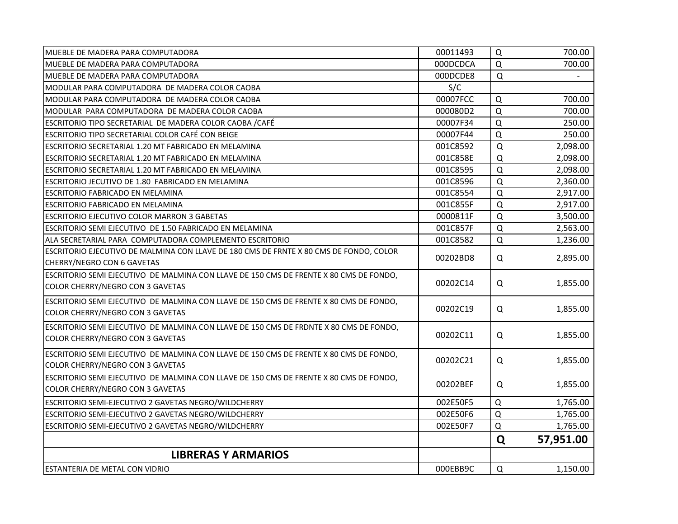| MUEBLE DE MADERA PARA COMPUTADORA                                                      | 00011493 | Q           | 700.00         |
|----------------------------------------------------------------------------------------|----------|-------------|----------------|
| MUEBLE DE MADERA PARA COMPUTADORA                                                      | 000DCDCA | Q           | 700.00         |
| MUEBLE DE MADERA PARA COMPUTADORA                                                      | 000DCDE8 | $\mathsf Q$ | $\blacksquare$ |
| MODULAR PARA COMPUTADORA DE MADERA COLOR CAOBA                                         | S/C      |             |                |
| MODULAR PARA COMPUTADORA DE MADERA COLOR CAOBA                                         | 00007FCC | $\Omega$    | 700.00         |
| MODULAR PARA COMPUTADORA DE MADERA COLOR CAOBA                                         | 000080D2 | Q           | 700.00         |
| ESCRITORIO TIPO SECRETARIAL DE MADERA COLOR CAOBA / CAFÉ                               | 00007F34 | Q           | 250.00         |
| ESCRITORIO TIPO SECRETARIAL COLOR CAFÉ CON BEIGE                                       | 00007F44 | $\Omega$    | 250.00         |
| ESCRITORIO SECRETARIAL 1.20 MT FABRICADO EN MELAMINA                                   | 001C8592 | $\Omega$    | 2,098.00       |
| ESCRITORIO SECRETARIAL 1.20 MT FABRICADO EN MELAMINA                                   | 001C858E | Q           | 2,098.00       |
| ESCRITORIO SECRETARIAL 1.20 MT FABRICADO EN MELAMINA                                   | 001C8595 | Q           | 2,098.00       |
| ESCRITORIO JECUTIVO DE 1.80 FABRICADO EN MELAMINA                                      | 001C8596 | Q           | 2,360.00       |
| ESCRITORIO FABRICADO EN MELAMINA                                                       | 001C8554 | Q           | 2,917.00       |
| ESCRITORIO FABRICADO EN MELAMINA                                                       | 001C855F | Q           | 2,917.00       |
| <b>ESCRITORIO EJECUTIVO COLOR MARRON 3 GABETAS</b>                                     | 0000811F | Q           | 3,500.00       |
| ESCRITORIO SEMI EJECUTIVO DE 1.50 FABRICADO EN MELAMINA                                | 001C857F | Q           | 2,563.00       |
| ALA SECRETARIAL PARA COMPUTADORA COMPLEMENTO ESCRITORIO                                | 001C8582 | Q           | 1,236.00       |
| ESCRITORIO EJECUTIVO DE MALMINA CON LLAVE DE 180 CMS DE FRNTE X 80 CMS DE FONDO, COLOR |          |             |                |
| CHERRY/NEGRO CON 6 GAVETAS                                                             | 00202BD8 | Q           | 2,895.00       |
| ESCRITORIO SEMI EJECUTIVO DE MALMINA CON LLAVE DE 150 CMS DE FRENTE X 80 CMS DE FONDO, |          |             |                |
| COLOR CHERRY/NEGRO CON 3 GAVETAS                                                       | 00202C14 | Q           | 1,855.00       |
| ESCRITORIO SEMI EJECUTIVO DE MALMINA CON LLAVE DE 150 CMS DE FRENTE X 80 CMS DE FONDO, | 00202C19 | Q           | 1,855.00       |
| COLOR CHERRY/NEGRO CON 3 GAVETAS                                                       |          |             |                |
| ESCRITORIO SEMI EJECUTIVO DE MALMINA CON LLAVE DE 150 CMS DE FRDNTE X 80 CMS DE FONDO, |          |             |                |
| COLOR CHERRY/NEGRO CON 3 GAVETAS                                                       | 00202C11 | Q           | 1,855.00       |
| ESCRITORIO SEMI EJECUTIVO DE MALMINA CON LLAVE DE 150 CMS DE FRENTE X 80 CMS DE FONDO, | 00202C21 | Q           | 1,855.00       |
| COLOR CHERRY/NEGRO CON 3 GAVETAS                                                       |          |             |                |
| ESCRITORIO SEMI EJECUTIVO DE MALMINA CON LLAVE DE 150 CMS DE FRENTE X 80 CMS DE FONDO, | 00202BEF | Q           | 1,855.00       |
| COLOR CHERRY/NEGRO CON 3 GAVETAS                                                       |          |             |                |
| ESCRITORIO SEMI-EJECUTIVO 2 GAVETAS NEGRO/WILDCHERRY                                   | 002E50F5 | Q           | 1,765.00       |
| ESCRITORIO SEMI-EJECUTIVO 2 GAVETAS NEGRO/WILDCHERRY                                   | 002E50F6 | Q           | 1,765.00       |
| ESCRITORIO SEMI-EJECUTIVO 2 GAVETAS NEGRO/WILDCHERRY                                   | 002E50F7 | Q           | 1,765.00       |
|                                                                                        |          | Q           | 57,951.00      |
| <b>LIBRERAS Y ARMARIOS</b>                                                             |          |             |                |
| ESTANTERIA DE METAL CON VIDRIO                                                         | 000EBB9C | Q           | 1,150.00       |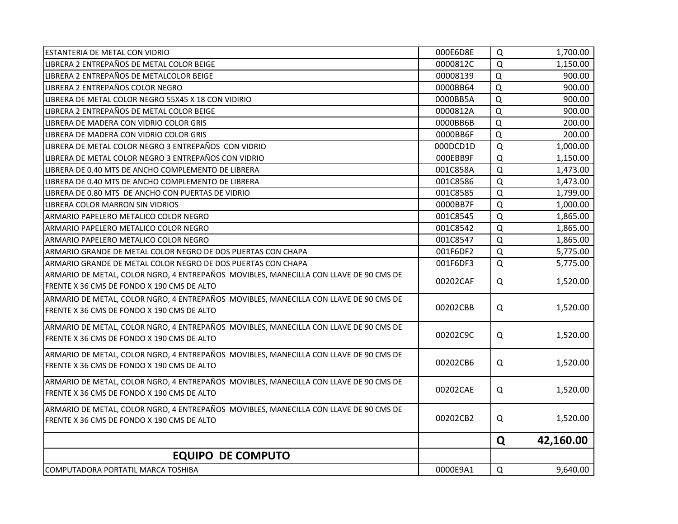| <b>ESTANTERIA DE METAL CON VIDRIO</b>                                                 | 000E6D8E | Q           | 1,700.00  |
|---------------------------------------------------------------------------------------|----------|-------------|-----------|
| LIBRERA 2 ENTREPAÑOS DE METAL COLOR BEIGE                                             | 0000812C | Q           | 1,150.00  |
| LIBRERA 2 ENTREPAÑOS DE METALCOLOR BEIGE                                              | 00008139 | Q           | 900.00    |
| LIBRERA 2 ENTREPAÑOS COLOR NEGRO                                                      | 0000BB64 | Q           | 900.00    |
| LIBRERA DE METAL COLOR NEGRO 55X45 X 18 CON VIDIRIO                                   | 0000BB5A | $\Omega$    | 900.00    |
| LIBRERA 2 ENTREPAÑOS DE METAL COLOR BEIGE                                             | 0000812A | $\Omega$    | 900.00    |
| LIBRERA DE MADERA CON VIDRIO COLOR GRIS                                               | 0000BB6B | $\Omega$    | 200.00    |
| LIBRERA DE MADERA CON VIDRIO COLOR GRIS                                               | 0000BB6F | $\Omega$    | 200.00    |
| LIBRERA DE METAL COLOR NEGRO 3 ENTREPAÑOS CON VIDRIO                                  | 000DCD1D | $\Omega$    | 1,000.00  |
| LIBRERA DE METAL COLOR NEGRO 3 ENTREPAÑOS CON VIDRIO                                  | 000EBB9F | Q           | 1,150.00  |
| LIBRERA DE 0.40 MTS DE ANCHO COMPLEMENTO DE LIBRERA                                   | 001C858A | $\Omega$    | 1,473.00  |
| LIBRERA DE 0.40 MTS DE ANCHO COMPLEMENTO DE LIBRERA                                   | 001C8586 | $\Omega$    | 1,473.00  |
| LIBRERA DE 0.80 MTS DE ANCHO CON PUERTAS DE VIDRIO                                    | 001C8585 | Q           | 1,799.00  |
| LIBRERA COLOR MARRON SIN VIDRIOS                                                      | 0000BB7F | Q           | 1,000.00  |
| ARMARIO PAPELERO METALICO COLOR NEGRO                                                 | 001C8545 | Q           | 1,865.00  |
| ARMARIO PAPELERO METALICO COLOR NEGRO                                                 | 001C8542 | Q           | 1,865.00  |
| ARMARIO PAPELERO METALICO COLOR NEGRO                                                 | 001C8547 | $\mathsf Q$ | 1,865.00  |
| ARMARIO GRANDE DE METAL COLOR NEGRO DE DOS PUERTAS CON CHAPA                          | 001F6DF2 | Q           | 5,775.00  |
| ARMARIO GRANDE DE METAL COLOR NEGRO DE DOS PUERTAS CON CHAPA                          | 001F6DF3 | Q           | 5,775.00  |
| ARMARIO DE METAL, COLOR NGRO, 4 ENTREPAÑOS MOVIBLES, MANECILLA CON LLAVE DE 90 CMS DE | 00202CAF | Q           | 1,520.00  |
| FRENTE X 36 CMS DE FONDO X 190 CMS DE ALTO                                            |          |             |           |
| ARMARIO DE METAL, COLOR NGRO, 4 ENTREPAÑOS MOVIBLES, MANECILLA CON LLAVE DE 90 CMS DE |          |             |           |
| FRENTE X 36 CMS DE FONDO X 190 CMS DE ALTO                                            | 00202CBB | Q           | 1,520.00  |
| ARMARIO DE METAL, COLOR NGRO, 4 ENTREPAÑOS MOVIBLES, MANECILLA CON LLAVE DE 90 CMS DE |          |             |           |
| FRENTE X 36 CMS DE FONDO X 190 CMS DE ALTO                                            | 00202C9C | Q           | 1,520.00  |
| ARMARIO DE METAL, COLOR NGRO, 4 ENTREPAÑOS MOVIBLES, MANECILLA CON LLAVE DE 90 CMS DE |          |             |           |
| FRENTE X 36 CMS DE FONDO X 190 CMS DE ALTO                                            | 00202CB6 | Q           | 1,520.00  |
| ARMARIO DE METAL, COLOR NGRO, 4 ENTREPAÑOS MOVIBLES, MANECILLA CON LLAVE DE 90 CMS DE |          |             |           |
| FRENTE X 36 CMS DE FONDO X 190 CMS DE ALTO                                            | 00202CAE | Q           | 1,520.00  |
| ARMARIO DE METAL, COLOR NGRO, 4 ENTREPAÑOS MOVIBLES, MANECILLA CON LLAVE DE 90 CMS DE |          |             |           |
| FRENTE X 36 CMS DE FONDO X 190 CMS DE ALTO                                            | 00202CB2 | Q           | 1,520.00  |
|                                                                                       |          | Q           | 42,160.00 |
| <b>EQUIPO DE COMPUTO</b>                                                              |          |             |           |
| COMPUTADORA PORTATIL MARCA TOSHIBA                                                    | 0000E9A1 | $\Omega$    | 9,640.00  |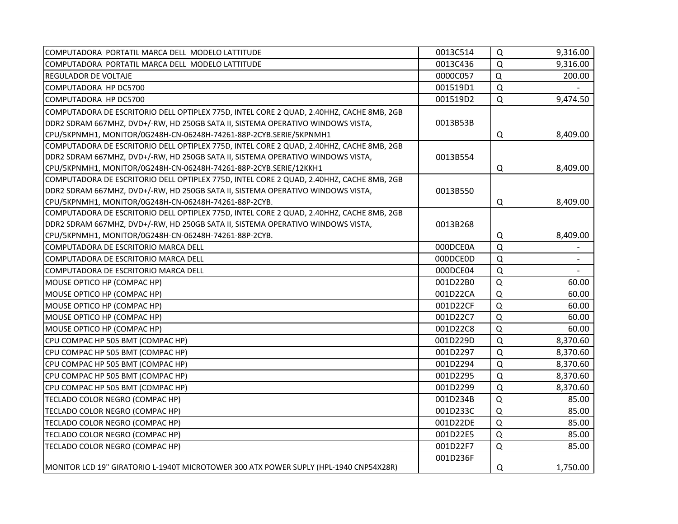| COMPUTADORA PORTATIL MARCA DELL MODELO LATTITUDE                                         | 0013C514 | Q           | 9,316.00                 |
|------------------------------------------------------------------------------------------|----------|-------------|--------------------------|
| COMPUTADORA PORTATIL MARCA DELL MODELO LATTITUDE                                         | 0013C436 | $\Omega$    | 9,316.00                 |
| <b>REGULADOR DE VOLTAJE</b>                                                              | 0000C057 | $\mathsf Q$ | 200.00                   |
| COMPUTADORA HP DC5700                                                                    | 001519D1 | $\mathsf Q$ |                          |
| COMPUTADORA HP DC5700                                                                    | 001519D2 | Q           | 9,474.50                 |
| COMPUTADORA DE ESCRITORIO DELL OPTIPLEX 775D, INTEL CORE 2 QUAD, 2.40HHZ, CACHE 8MB, 2GB |          |             |                          |
| DDR2 SDRAM 667MHZ, DVD+/-RW, HD 250GB SATA II, SISTEMA OPERATIVO WINDOWS VISTA,          | 0013B53B |             |                          |
| CPU/5KPNMH1, MONITOR/0G248H-CN-06248H-74261-88P-2CYB.SERIE/5KPNMH1                       |          | Q           | 8,409.00                 |
| COMPUTADORA DE ESCRITORIO DELL OPTIPLEX 775D, INTEL CORE 2 QUAD, 2.40HHZ, CACHE 8MB, 2GB |          |             |                          |
| DDR2 SDRAM 667MHZ, DVD+/-RW, HD 250GB SATA II, SISTEMA OPERATIVO WINDOWS VISTA,          | 0013B554 |             |                          |
| CPU/5KPNMH1, MONITOR/0G248H-CN-06248H-74261-88P-2CYB.SERIE/12KKH1                        |          | Q           | 8,409.00                 |
| COMPUTADORA DE ESCRITORIO DELL OPTIPLEX 775D, INTEL CORE 2 QUAD, 2.40HHZ, CACHE 8MB, 2GB |          |             |                          |
| DDR2 SDRAM 667MHZ, DVD+/-RW, HD 250GB SATA II, SISTEMA OPERATIVO WINDOWS VISTA,          | 0013B550 |             |                          |
| CPU/5KPNMH1, MONITOR/0G248H-CN-06248H-74261-88P-2CYB.                                    |          | Q           | 8,409.00                 |
| COMPUTADORA DE ESCRITORIO DELL OPTIPLEX 775D, INTEL CORE 2 QUAD, 2.40HHZ, CACHE 8MB, 2GB |          |             |                          |
| DDR2 SDRAM 667MHZ, DVD+/-RW, HD 250GB SATA II, SISTEMA OPERATIVO WINDOWS VISTA,          | 0013B268 |             |                          |
| CPU/5KPNMH1, MONITOR/0G248H-CN-06248H-74261-88P-2CYB.                                    |          | Q           | 8,409.00                 |
| COMPUTADORA DE ESCRITORIO MARCA DELL                                                     | 000DCE0A | $\mathsf Q$ |                          |
| COMPUTADORA DE ESCRITORIO MARCA DELL                                                     | 000DCE0D | $\mathsf Q$ | $\overline{\phantom{a}}$ |
| COMPUTADORA DE ESCRITORIO MARCA DELL                                                     | 000DCE04 | $\mathsf Q$ |                          |
| MOUSE OPTICO HP (COMPAC HP)                                                              | 001D22B0 | Q           | 60.00                    |
| MOUSE OPTICO HP (COMPAC HP)                                                              | 001D22CA | Q           | 60.00                    |
| MOUSE OPTICO HP (COMPAC HP)                                                              | 001D22CF | Q           | 60.00                    |
| MOUSE OPTICO HP (COMPAC HP)                                                              | 001D22C7 | Q           | 60.00                    |
| MOUSE OPTICO HP (COMPAC HP)                                                              | 001D22C8 | $\Omega$    | 60.00                    |
| CPU COMPAC HP 505 BMT (COMPAC HP)                                                        | 001D229D | Q           | 8,370.60                 |
| CPU COMPAC HP 505 BMT (COMPAC HP)                                                        | 001D2297 | Q           | 8,370.60                 |
| CPU COMPAC HP 505 BMT (COMPAC HP)                                                        | 001D2294 | Q           | 8,370.60                 |
| CPU COMPAC HP 505 BMT (COMPAC HP)                                                        | 001D2295 | $\mathsf Q$ | 8,370.60                 |
| CPU COMPAC HP 505 BMT (COMPAC HP)                                                        | 001D2299 | $\Omega$    | 8,370.60                 |
| TECLADO COLOR NEGRO (COMPAC HP)                                                          | 001D234B | $\Omega$    | 85.00                    |
| TECLADO COLOR NEGRO (COMPAC HP)                                                          | 001D233C | $\Omega$    | 85.00                    |
| TECLADO COLOR NEGRO (COMPAC HP)                                                          | 001D22DE | $\Omega$    | 85.00                    |
| TECLADO COLOR NEGRO (COMPAC HP)                                                          | 001D22E5 | $\Omega$    | 85.00                    |
| TECLADO COLOR NEGRO (COMPAC HP)                                                          | 001D22F7 | $\mathsf Q$ | 85.00                    |
|                                                                                          | 001D236F |             |                          |
| MONITOR LCD 19" GIRATORIO L-1940T MICROTOWER 300 ATX POWER SUPLY (HPL-1940 CNP54X28R)    |          | Q           | 1,750.00                 |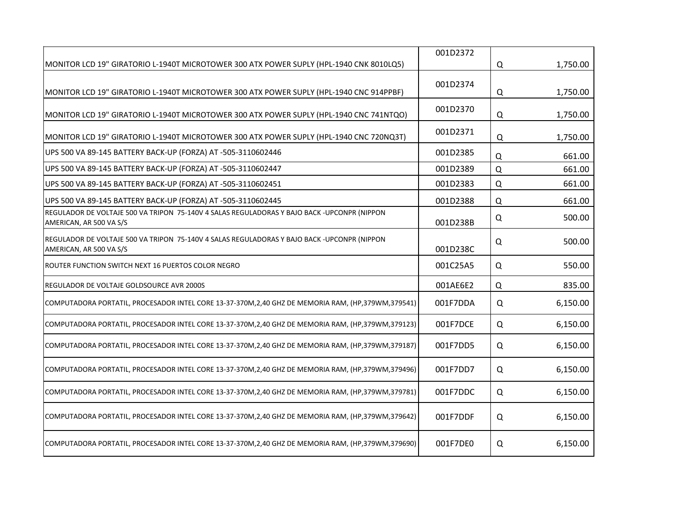|                                                                                                                        | 001D2372 |          |          |
|------------------------------------------------------------------------------------------------------------------------|----------|----------|----------|
| MONITOR LCD 19" GIRATORIO L-1940T MICROTOWER 300 ATX POWER SUPLY (HPL-1940 CNK 8010LQ5)                                |          | Q        | 1,750.00 |
| MONITOR LCD 19" GIRATORIO L-1940T MICROTOWER 300 ATX POWER SUPLY (HPL-1940 CNC 914PPBF)                                | 001D2374 | Q        | 1,750.00 |
| MONITOR LCD 19" GIRATORIO L-1940T MICROTOWER 300 ATX POWER SUPLY (HPL-1940 CNC 741NTQO)                                | 001D2370 | Q        | 1,750.00 |
| MONITOR LCD 19" GIRATORIO L-1940T MICROTOWER 300 ATX POWER SUPLY (HPL-1940 CNC 720NQ3T)                                | 001D2371 | Q        | 1,750.00 |
| UPS 500 VA 89-145 BATTERY BACK-UP (FORZA) AT -505-3110602446                                                           | 001D2385 | Q        | 661.00   |
| UPS 500 VA 89-145 BATTERY BACK-UP (FORZA) AT -505-3110602447                                                           | 001D2389 | $\Omega$ | 661.00   |
| UPS 500 VA 89-145 BATTERY BACK-UP (FORZA) AT -505-3110602451                                                           | 001D2383 | Q        | 661.00   |
| UPS 500 VA 89-145 BATTERY BACK-UP (FORZA) AT -505-3110602445                                                           | 001D2388 | Q        | 661.00   |
| REGULADOR DE VOLTAJE 500 VA TRIPON 75-140V 4 SALAS REGULADORAS Y BAJO BACK -UPCONPR (NIPPON<br>AMERICAN, AR 500 VA S/S | 001D238B | Q        | 500.00   |
| REGULADOR DE VOLTAJE 500 VA TRIPON 75-140V 4 SALAS REGULADORAS Y BAJO BACK -UPCONPR (NIPPON<br>AMERICAN, AR 500 VA S/S | 001D238C | Q        | 500.00   |
| ROUTER FUNCTION SWITCH NEXT 16 PUERTOS COLOR NEGRO                                                                     | 001C25A5 | Q        | 550.00   |
| REGULADOR DE VOLTAJE GOLDSOURCE AVR 2000S                                                                              | 001AE6E2 | Q        | 835.00   |
| COMPUTADORA PORTATIL, PROCESADOR INTEL CORE 13-37-370M, 2, 40 GHZ DE MEMORIA RAM, (HP, 379WM, 379541)                  | 001F7DDA | Q        | 6,150.00 |
| COMPUTADORA PORTATIL, PROCESADOR INTEL CORE 13-37-370M, 2, 40 GHZ DE MEMORIA RAM, (HP, 379WM, 379123)                  | 001F7DCE | Q        | 6,150.00 |
| COMPUTADORA PORTATIL, PROCESADOR INTEL CORE 13-37-370M, 2, 40 GHZ DE MEMORIA RAM, (HP, 379WM, 379187)                  | 001F7DD5 | Q        | 6,150.00 |
| COMPUTADORA PORTATIL, PROCESADOR INTEL CORE 13-37-370M,2,40 GHZ DE MEMORIA RAM, (HP,379WM,379496)                      | 001F7DD7 | Q        | 6,150.00 |
| COMPUTADORA PORTATIL, PROCESADOR INTEL CORE 13-37-370M, 2,40 GHZ DE MEMORIA RAM, (HP, 379WM, 379781)                   | 001F7DDC | Q        | 6,150.00 |
| COMPUTADORA PORTATIL, PROCESADOR INTEL CORE 13-37-370M,2,40 GHZ DE MEMORIA RAM, (HP,379WM,379642)                      | 001F7DDF | Q        | 6,150.00 |
| COMPUTADORA PORTATIL, PROCESADOR INTEL CORE 13-37-370M, 2, 40 GHZ DE MEMORIA RAM, (HP, 379WM, 379690)                  | 001F7DE0 | Q        | 6,150.00 |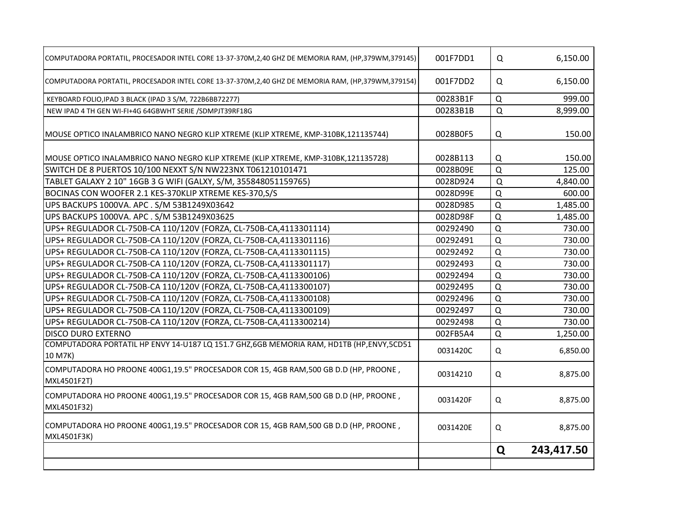| COMPUTADORA PORTATIL, PROCESADOR INTEL CORE 13-37-370M, 2, 40 GHZ DE MEMORIA RAM, (HP, 379WM, 379145) | 001F7DD1 | Q        | 6,150.00   |
|-------------------------------------------------------------------------------------------------------|----------|----------|------------|
| COMPUTADORA PORTATIL, PROCESADOR INTEL CORE 13-37-370M, 2, 40 GHZ DE MEMORIA RAM, (HP, 379WM, 379154) | 001F7DD2 | Q        | 6,150.00   |
| KEYBOARD FOLIO, IPAD 3 BLACK (IPAD 3 S/M, 722B6BB72277)                                               | 00283B1F | Q        | 999.00     |
| NEW IPAD 4 TH GEN WI-FI+4G 64GBWHT SERIE /SDMPJT39RF18G                                               | 00283B1B | Q        | 8,999.00   |
| MOUSE OPTICO INALAMBRICO NANO NEGRO KLIP XTREME (KLIP XTREME, KMP-310BK,121135744)                    | 0028B0F5 | Q        | 150.00     |
| MOUSE OPTICO INALAMBRICO NANO NEGRO KLIP XTREME (KLIP XTREME, KMP-310BK,121135728)                    | 0028B113 | Q        | 150.00     |
| SWITCH DE 8 PUERTOS 10/100 NEXXT S/N NW223NX T061210101471                                            | 0028B09E | $\Omega$ | 125.00     |
| TABLET GALAXY 2 10" 16GB 3 G WIFI (GALXY, S/M, 355848051159765)                                       | 0028D924 | $\Omega$ | 4,840.00   |
| BOCINAS CON WOOFER 2.1 KES-370KLIP XTREME KES-370,S/S                                                 | 0028D99E | Q        | 600.00     |
| UPS BACKUPS 1000VA. APC . S/M 53B1249X03642                                                           | 0028D985 | Q        | 1,485.00   |
| UPS BACKUPS 1000VA. APC . S/M 53B1249X03625                                                           | 0028D98F | Q        | 1,485.00   |
| UPS+ REGULADOR CL-750B-CA 110/120V (FORZA, CL-750B-CA,4113301114)                                     | 00292490 | Q        | 730.00     |
| UPS+ REGULADOR CL-750B-CA 110/120V (FORZA, CL-750B-CA,4113301116)                                     | 00292491 | Q        | 730.00     |
| UPS+ REGULADOR CL-750B-CA 110/120V (FORZA, CL-750B-CA,4113301115)                                     | 00292492 | Q        | 730.00     |
| UPS+ REGULADOR CL-750B-CA 110/120V (FORZA, CL-750B-CA,4113301117)                                     | 00292493 | Q        | 730.00     |
| UPS+ REGULADOR CL-750B-CA 110/120V (FORZA, CL-750B-CA,4113300106)                                     | 00292494 | Q        | 730.00     |
| UPS+ REGULADOR CL-750B-CA 110/120V (FORZA, CL-750B-CA,4113300107)                                     | 00292495 | Q        | 730.00     |
| UPS+ REGULADOR CL-750B-CA 110/120V (FORZA, CL-750B-CA,4113300108)                                     | 00292496 | $\Omega$ | 730.00     |
| UPS+ REGULADOR CL-750B-CA 110/120V (FORZA, CL-750B-CA,4113300109)                                     | 00292497 | Q        | 730.00     |
| UPS+ REGULADOR CL-750B-CA 110/120V (FORZA, CL-750B-CA,4113300214)                                     | 00292498 | Q        | 730.00     |
| <b>DISCO DURO EXTERNO</b>                                                                             | 002FB5A4 | Q        | 1,250.00   |
| COMPUTADORA PORTATIL HP ENVY 14-U187 LQ 151.7 GHZ,6GB MEMORIA RAM, HD1TB (HP,ENVY,5CD51<br>10 M7K)    | 0031420C | Q        | 6,850.00   |
| COMPUTADORA HO PROONE 400G1,19.5" PROCESADOR COR 15, 4GB RAM,500 GB D.D (HP, PROONE,<br>MXL4501F2T)   | 00314210 | Q        | 8,875.00   |
| COMPUTADORA HO PROONE 400G1,19.5" PROCESADOR COR 15, 4GB RAM,500 GB D.D (HP, PROONE,<br>MXL4501F32)   | 0031420F | Q        | 8,875.00   |
| COMPUTADORA HO PROONE 400G1,19.5" PROCESADOR COR 15, 4GB RAM,500 GB D.D (HP, PROONE,<br>MXL4501F3K)   | 0031420E | Q        | 8,875.00   |
|                                                                                                       |          | Q        | 243,417.50 |
|                                                                                                       |          |          |            |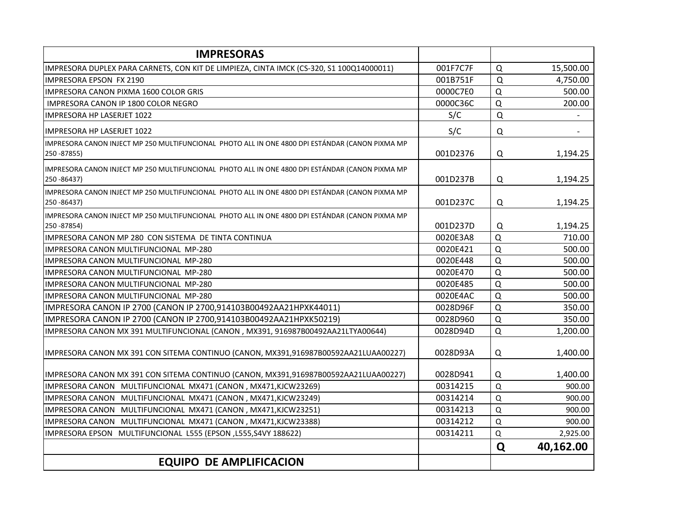| <b>IMPRESORAS</b>                                                                                               |          |             |           |
|-----------------------------------------------------------------------------------------------------------------|----------|-------------|-----------|
| IMPRESORA DUPLEX PARA CARNETS, CON KIT DE LIMPIEZA, CINTA IMCK (CS-320, S1 100Q14000011)                        | 001F7C7F | $\Omega$    | 15,500.00 |
| IMPRESORA EPSON FX 2190                                                                                         | 001B751F | $\mathsf Q$ | 4,750.00  |
| IMPRESORA CANON PIXMA 1600 COLOR GRIS                                                                           | 0000C7E0 | Q           | 500.00    |
| IMPRESORA CANON IP 1800 COLOR NEGRO                                                                             | 0000C36C | Q           | 200.00    |
| <b>IMPRESORA HP LASERJET 1022</b>                                                                               | S/C      | $\Omega$    |           |
| <b>IMPRESORA HP LASERJET 1022</b>                                                                               | S/C      | Q           |           |
| IMPRESORA CANON INJECT MP 250 MULTIFUNCIONAL PHOTO ALL IN ONE 4800 DPI ESTÁNDAR (CANON PIXMA MP<br>250 - 87855) | 001D2376 | Q           | 1,194.25  |
| IMPRESORA CANON INJECT MP 250 MULTIFUNCIONAL PHOTO ALL IN ONE 4800 DPI ESTÁNDAR (CANON PIXMA MP<br>250 - 86437) | 001D237B | Q           | 1,194.25  |
| IMPRESORA CANON INJECT MP 250 MULTIFUNCIONAL PHOTO ALL IN ONE 4800 DPI ESTÁNDAR (CANON PIXMA MP<br>250 - 86437) | 001D237C | Q           | 1,194.25  |
| IMPRESORA CANON INJECT MP 250 MULTIFUNCIONAL PHOTO ALL IN ONE 4800 DPI ESTÁNDAR (CANON PIXMA MP<br>250 - 87854) | 001D237D | Q           | 1,194.25  |
| IMPRESORA CANON MP 280 CON SISTEMA DE TINTA CONTINUA                                                            | 0020E3A8 | Q           | 710.00    |
| IMPRESORA CANON MULTIFUNCIONAL MP-280                                                                           | 0020E421 | Q           | 500.00    |
| IMPRESORA CANON MULTIFUNCIONAL MP-280                                                                           | 0020E448 | Q           | 500.00    |
| IMPRESORA CANON MULTIFUNCIONAL MP-280                                                                           | 0020E470 | Q           | 500.00    |
| IMPRESORA CANON MULTIFUNCIONAL MP-280                                                                           | 0020E485 | Q           | 500.00    |
| IMPRESORA CANON MULTIFUNCIONAL MP-280                                                                           | 0020E4AC | Q           | 500.00    |
| IMPRESORA CANON IP 2700 (CANON IP 2700,914103B00492AA21HPXK44011)                                               | 0028D96F | Q           | 350.00    |
| IMPRESORA CANON IP 2700 (CANON IP 2700,914103B00492AA21HPXK50219)                                               | 0028D960 | Q           | 350.00    |
| IMPRESORA CANON MX 391 MULTIFUNCIONAL (CANON, MX391, 916987B00492AA21LTYA00644)                                 | 0028D94D | Q           | 1,200.00  |
| IMPRESORA CANON MX 391 CON SITEMA CONTINUO (CANON, MX391,916987B00592AA21LUAA00227)                             | 0028D93A | Q           | 1,400.00  |
| IMPRESORA CANON MX 391 CON SITEMA CONTINUO (CANON, MX391,916987B00592AA21LUAA00227)                             | 0028D941 | Q           | 1,400.00  |
| IMPRESORA CANON MULTIFUNCIONAL MX471 (CANON, MX471, KJCW23269)                                                  | 00314215 | Q           | 900.00    |
| IMPRESORA CANON MULTIFUNCIONAL MX471 (CANON, MX471, KJCW23249)                                                  | 00314214 | Q           | 900.00    |
| IMPRESORA CANON MULTIFUNCIONAL MX471 (CANON, MX471, KJCW23251)                                                  | 00314213 | Q           | 900.00    |
| IMPRESORA CANON MULTIFUNCIONAL MX471 (CANON, MX471, KJCW23388)                                                  | 00314212 | Q           | 900.00    |
| IMPRESORA EPSON MULTIFUNCIONAL L555 (EPSON, L555, S4VY 188622)                                                  | 00314211 | Q           | 2,925.00  |
|                                                                                                                 |          | Q           | 40,162.00 |
| <b>EQUIPO DE AMPLIFICACION</b>                                                                                  |          |             |           |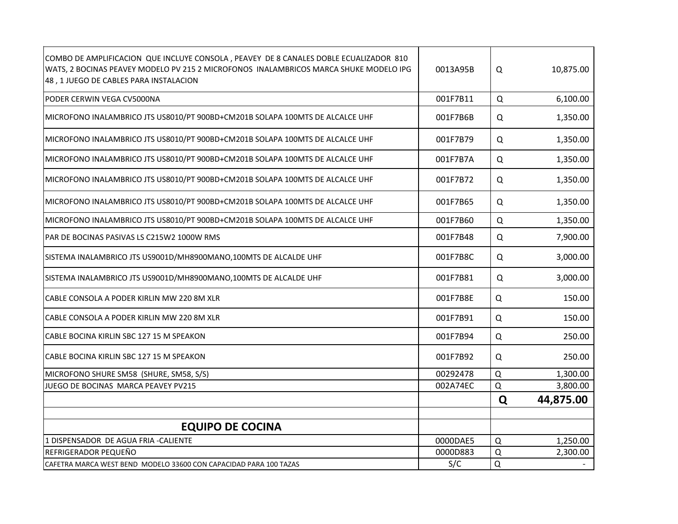| COMBO DE AMPLIFICACION QUE INCLUYE CONSOLA, PEAVEY DE 8 CANALES DOBLE ECUALIZADOR 810<br>WATS, 2 BOCINAS PEAVEY MODELO PV 215 2 MICROFONOS INALAMBRICOS MARCA SHUKE MODELO IPG<br>48, 1 JUEGO DE CABLES PARA INSTALACION | 0013A95B | Q        | 10,875.00 |
|--------------------------------------------------------------------------------------------------------------------------------------------------------------------------------------------------------------------------|----------|----------|-----------|
| PODER CERWIN VEGA CV5000NA                                                                                                                                                                                               | 001F7B11 | Q        | 6,100.00  |
| MICROFONO INALAMBRICO JTS US8010/PT 900BD+CM201B SOLAPA 100MTS DE ALCALCE UHF                                                                                                                                            | 001F7B6B | Q        | 1,350.00  |
| MICROFONO INALAMBRICO JTS US8010/PT 900BD+CM201B SOLAPA 100MTS DE ALCALCE UHF                                                                                                                                            | 001F7B79 | Q        | 1,350.00  |
| MICROFONO INALAMBRICO JTS US8010/PT 900BD+CM201B SOLAPA 100MTS DE ALCALCE UHF                                                                                                                                            | 001F7B7A | Q        | 1,350.00  |
| MICROFONO INALAMBRICO JTS US8010/PT 900BD+CM201B SOLAPA 100MTS DE ALCALCE UHF                                                                                                                                            | 001F7B72 | Q        | 1,350.00  |
| MICROFONO INALAMBRICO JTS US8010/PT 900BD+CM201B SOLAPA 100MTS DE ALCALCE UHF                                                                                                                                            | 001F7B65 | Q        | 1,350.00  |
| MICROFONO INALAMBRICO JTS US8010/PT 900BD+CM201B SOLAPA 100MTS DE ALCALCE UHF                                                                                                                                            | 001F7B60 | Q        | 1,350.00  |
| PAR DE BOCINAS PASIVAS LS C215W2 1000W RMS                                                                                                                                                                               | 001F7B48 | Q        | 7,900.00  |
| SISTEMA INALAMBRICO JTS US9001D/MH8900MANO,100MTS DE ALCALDE UHF                                                                                                                                                         | 001F7B8C | Q        | 3,000.00  |
| SISTEMA INALAMBRICO JTS US9001D/MH8900MANO,100MTS DE ALCALDE UHF                                                                                                                                                         | 001F7B81 | Q        | 3,000.00  |
| CABLE CONSOLA A PODER KIRLIN MW 220 8M XLR                                                                                                                                                                               | 001F7B8E | Q        | 150.00    |
| CABLE CONSOLA A PODER KIRLIN MW 220 8M XLR                                                                                                                                                                               | 001F7B91 | Q        | 150.00    |
| CABLE BOCINA KIRLIN SBC 127 15 M SPEAKON                                                                                                                                                                                 | 001F7B94 | Q        | 250.00    |
| CABLE BOCINA KIRLIN SBC 127 15 M SPEAKON                                                                                                                                                                                 | 001F7B92 | Q        | 250.00    |
| MICROFONO SHURE SM58 (SHURE, SM58, S/S)                                                                                                                                                                                  | 00292478 | Q        | 1,300.00  |
| JUEGO DE BOCINAS MARCA PEAVEY PV215                                                                                                                                                                                      | 002A74EC | Q        | 3,800.00  |
|                                                                                                                                                                                                                          |          | Q        | 44,875.00 |
|                                                                                                                                                                                                                          |          |          |           |
| <b>EQUIPO DE COCINA</b>                                                                                                                                                                                                  |          |          |           |
| 1 DISPENSADOR DE AGUA FRIA - CALIENTE                                                                                                                                                                                    | 0000DAE5 | $\Omega$ | 1,250.00  |
| REFRIGERADOR PEQUEÑO                                                                                                                                                                                                     | 0000D883 | Q        | 2,300.00  |
| CAFETRA MARCA WEST BEND MODELO 33600 CON CAPACIDAD PARA 100 TAZAS                                                                                                                                                        | S/C      | Q        |           |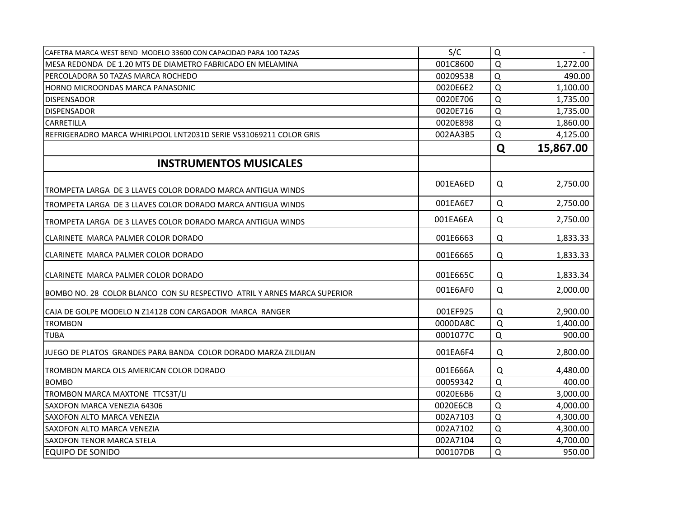| CAFETRA MARCA WEST BEND MODELO 33600 CON CAPACIDAD PARA 100 TAZAS        | S/C      | Q           |           |
|--------------------------------------------------------------------------|----------|-------------|-----------|
| IMESA REDONDA DE 1.20 MTS DE DIAMETRO FABRICADO EN MELAMINA              | 001C8600 | Q           | 1,272.00  |
| PERCOLADORA 50 TAZAS MARCA ROCHEDO                                       | 00209538 | $\Omega$    | 490.00    |
| HORNO MICROONDAS MARCA PANASONIC                                         | 0020E6E2 | $\Omega$    | 1,100.00  |
| <b>DISPENSADOR</b>                                                       | 0020E706 | Q           | 1,735.00  |
| <b>DISPENSADOR</b>                                                       | 0020E716 | $\Omega$    | 1,735.00  |
| CARRETILLA                                                               | 0020E898 | Q           | 1,860.00  |
| REFRIGERADRO MARCA WHIRLPOOL LNT2031D SERIE VS31069211 COLOR GRIS        | 002AA3B5 | Q           | 4,125.00  |
|                                                                          |          | Q           | 15,867.00 |
| <b>INSTRUMENTOS MUSICALES</b>                                            |          |             |           |
| TROMPETA LARGA DE 3 LLAVES COLOR DORADO MARCA ANTIGUA WINDS              | 001EA6ED | Q           | 2,750.00  |
| TROMPETA LARGA DE 3 LLAVES COLOR DORADO MARCA ANTIGUA WINDS              | 001EA6E7 | Q           | 2,750.00  |
| TROMPETA LARGA DE 3 LLAVES COLOR DORADO MARCA ANTIGUA WINDS              | 001EA6EA | Q           | 2,750.00  |
| CLARINETE MARCA PALMER COLOR DORADO                                      | 001E6663 | Q           | 1,833.33  |
| CLARINETE MARCA PALMER COLOR DORADO                                      | 001E6665 | Q           | 1,833.33  |
| CLARINETE MARCA PALMER COLOR DORADO                                      | 001E665C | Q           | 1,833.34  |
| BOMBO NO. 28 COLOR BLANCO CON SU RESPECTIVO ATRIL Y ARNES MARCA SUPERIOR | 001E6AF0 | Q           | 2,000.00  |
| CAJA DE GOLPE MODELO N Z1412B CON CARGADOR MARCA RANGER                  | 001EF925 | Q           | 2,900.00  |
| <b>TROMBON</b>                                                           | 0000DA8C | $\Omega$    | 1,400.00  |
| <b>TUBA</b>                                                              | 0001077C | Q           | 900.00    |
| JUEGO DE PLATOS GRANDES PARA BANDA COLOR DORADO MARZA ZILDIJAN           | 001EA6F4 | Q           | 2,800.00  |
| TROMBON MARCA OLS AMERICAN COLOR DORADO                                  | 001E666A | Q           | 4,480.00  |
| <b>BOMBO</b>                                                             | 00059342 | $\Omega$    | 400.00    |
| TROMBON MARCA MAXTONE TTCS3T/LI                                          | 0020E6B6 | $\mathsf Q$ | 3,000.00  |
| <b>SAXOFON MARCA VENEZIA 64306</b>                                       | 0020E6CB | $\Omega$    | 4,000.00  |
| SAXOFON ALTO MARCA VENEZIA                                               | 002A7103 | Q           | 4,300.00  |
| SAXOFON ALTO MARCA VENEZIA                                               | 002A7102 | $\Omega$    | 4,300.00  |
| <b>SAXOFON TENOR MARCA STELA</b>                                         | 002A7104 | Q           | 4,700.00  |
| <b>EQUIPO DE SONIDO</b>                                                  | 000107DB | $\Omega$    | 950.00    |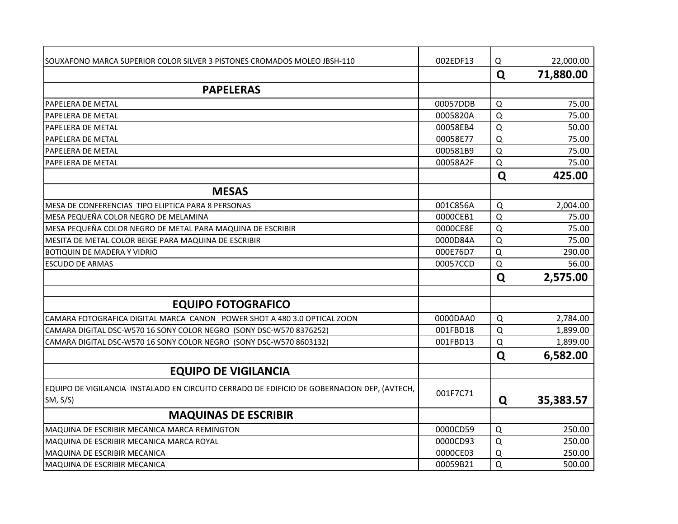| SOUXAFONO MARCA SUPERIOR COLOR SILVER 3 PISTONES CROMADOS MOLEO JBSH-110                               | 002EDF13 | Q              | 22,000.00 |
|--------------------------------------------------------------------------------------------------------|----------|----------------|-----------|
|                                                                                                        |          | Q              | 71,880.00 |
| <b>PAPELERAS</b>                                                                                       |          |                |           |
| <b>PAPELERA DE METAL</b>                                                                               | 00057DDB | $\Omega$       | 75.00     |
| PAPELERA DE METAL                                                                                      | 0005820A | $\Omega$       | 75.00     |
| <b>PAPELERA DE METAL</b>                                                                               | 00058EB4 | $\Omega$       | 50.00     |
| <b>PAPELERA DE METAL</b>                                                                               | 00058E77 | $\overline{Q}$ | 75.00     |
| PAPELERA DE METAL                                                                                      | 000581B9 | $\mathsf Q$    | 75.00     |
| PAPELERA DE METAL                                                                                      | 00058A2F | Q              | 75.00     |
|                                                                                                        |          | Q              | 425.00    |
| <b>MESAS</b>                                                                                           |          |                |           |
| MESA DE CONFERENCIAS TIPO ELIPTICA PARA 8 PERSONAS                                                     | 001C856A | $\Omega$       | 2,004.00  |
| MESA PEQUEÑA COLOR NEGRO DE MELAMINA                                                                   | 0000CEB1 | $\mathsf Q$    | 75.00     |
| MESA PEQUEÑA COLOR NEGRO DE METAL PARA MAQUINA DE ESCRIBIR                                             | 0000CE8E | $\Omega$       | 75.00     |
| MESITA DE METAL COLOR BEIGE PARA MAQUINA DE ESCRIBIR                                                   | 0000D84A | $\mathsf Q$    | 75.00     |
| <b>BOTIQUIN DE MADERA Y VIDRIO</b>                                                                     | 000E76D7 | $\mathsf Q$    | 290.00    |
| <b>ESCUDO DE ARMAS</b>                                                                                 | 00057CCD | $\Omega$       | 56.00     |
|                                                                                                        |          | Q              | 2,575.00  |
|                                                                                                        |          |                |           |
| <b>EQUIPO FOTOGRAFICO</b>                                                                              |          |                |           |
| CAMARA FOTOGRAFICA DIGITAL MARCA CANON POWER SHOT A 480 3.0 OPTICAL ZOON                               | 0000DAA0 | $\Omega$       | 2,784.00  |
| CAMARA DIGITAL DSC-W570 16 SONY COLOR NEGRO (SONY DSC-W570 8376252)                                    | 001FBD18 | $\Omega$       | 1,899.00  |
| CAMARA DIGITAL DSC-W570 16 SONY COLOR NEGRO (SONY DSC-W570 8603132)                                    | 001FBD13 | Q              | 1,899.00  |
|                                                                                                        |          | Q              | 6,582.00  |
| <b>EQUIPO DE VIGILANCIA</b>                                                                            |          |                |           |
| EQUIPO DE VIGILANCIA INSTALADO EN CIRCUITO CERRADO DE EDIFICIO DE GOBERNACION DEP, (AVTECH,<br>SM, S/S | 001F7C71 | Q              | 35,383.57 |
| <b>MAQUINAS DE ESCRIBIR</b>                                                                            |          |                |           |
| MAQUINA DE ESCRIBIR MECANICA MARCA REMINGTON                                                           | 0000CD59 | $\Omega$       | 250.00    |
| MAQUINA DE ESCRIBIR MECANICA MARCA ROYAL                                                               | 0000CD93 | $\Omega$       | 250.00    |
| MAQUINA DE ESCRIBIR MECANICA                                                                           | 0000CE03 | $\Omega$       | 250.00    |
| MAQUINA DE ESCRIBIR MECANICA                                                                           | 00059B21 | $\Omega$       | 500.00    |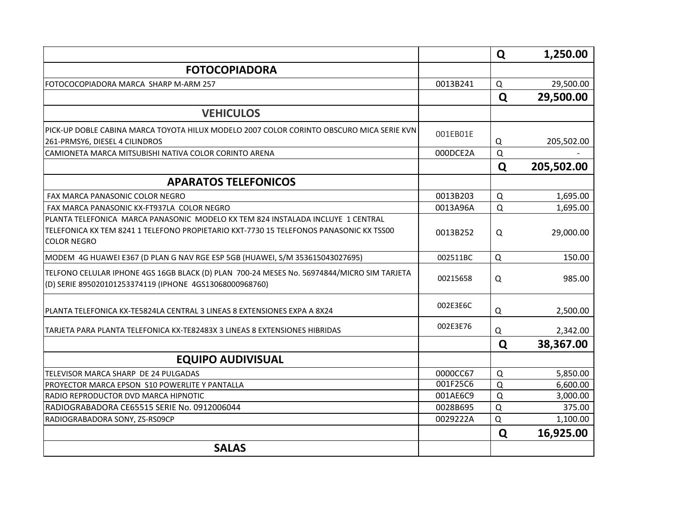|                                                                                                                                                                                                 |          | Q        | 1,250.00   |
|-------------------------------------------------------------------------------------------------------------------------------------------------------------------------------------------------|----------|----------|------------|
| <b>FOTOCOPIADORA</b>                                                                                                                                                                            |          |          |            |
| FOTOCOCOPIADORA MARCA SHARP M-ARM 257                                                                                                                                                           | 0013B241 | $\Omega$ | 29,500.00  |
|                                                                                                                                                                                                 |          | Q        | 29,500.00  |
| <b>VEHICULOS</b>                                                                                                                                                                                |          |          |            |
| PICK-UP DOBLE CABINA MARCA TOYOTA HILUX MODELO 2007 COLOR CORINTO OBSCURO MICA SERIE KVN                                                                                                        | 001EB01E |          |            |
| 261-PRMSY6, DIESEL 4 CILINDROS                                                                                                                                                                  |          | Q        | 205,502.00 |
| CAMIONETA MARCA MITSUBISHI NATIVA COLOR CORINTO ARENA                                                                                                                                           | 000DCE2A | $\Omega$ |            |
|                                                                                                                                                                                                 |          | Q        | 205,502.00 |
| <b>APARATOS TELEFONICOS</b>                                                                                                                                                                     |          |          |            |
| FAX MARCA PANASONIC COLOR NEGRO                                                                                                                                                                 | 0013B203 | $\Omega$ | 1,695.00   |
| FAX MARCA PANASONIC KX-FT937LA COLOR NEGRO                                                                                                                                                      | 0013A96A | $\Omega$ | 1,695.00   |
| PLANTA TELEFONICA MARCA PANASONIC MODELO KX TEM 824 INSTALADA INCLUYE 1 CENTRAL<br>TELEFONICA KX TEM 8241 1 TELEFONO PROPIETARIO KXT-7730 15 TELEFONOS PANASONIC KX TSS00<br><b>COLOR NEGRO</b> | 0013B252 | Q        | 29,000.00  |
| MODEM 4G HUAWEI E367 (D PLAN G NAV RGE ESP 5GB (HUAWEI, S/M 353615043027695)                                                                                                                    | 002511BC | Q        | 150.00     |
| TELFONO CELULAR IPHONE 4GS 16GB BLACK (D) PLAN 700-24 MESES No. 56974844/MICRO SIM TARJETA<br>(D) SERIE 895020101253374119 (IPHONE 4GS13068000968760)                                           | 00215658 | Q        | 985.00     |
| PLANTA TELEFONICA KX-TE5824LA CENTRAL 3 LINEAS 8 EXTENSIONES EXPA A 8X24                                                                                                                        | 002E3E6C | Q        | 2,500.00   |
| TARJETA PARA PLANTA TELEFONICA KX-TE82483X 3 LINEAS 8 EXTENSIONES HIBRIDAS                                                                                                                      | 002E3E76 | Q        | 2,342.00   |
|                                                                                                                                                                                                 |          | Q        | 38,367.00  |
| <b>EQUIPO AUDIVISUAL</b>                                                                                                                                                                        |          |          |            |
| TELEVISOR MARCA SHARP DE 24 PULGADAS                                                                                                                                                            | 0000CC67 | $\Omega$ | 5,850.00   |
| PROYECTOR MARCA EPSON S10 POWERLITE Y PANTALLA                                                                                                                                                  | 001F25C6 | $\Omega$ | 6,600.00   |
| RADIO REPRODUCTOR DVD MARCA HIPNOTIC                                                                                                                                                            | 001AE6C9 | $\Omega$ | 3,000.00   |
| RADIOGRABADORA CE65515 SERIE No. 0912006044                                                                                                                                                     | 0028B695 | $\Omega$ | 375.00     |
| RADIOGRABADORA SONY, ZS-RS09CP                                                                                                                                                                  | 0029222A | Q        | 1,100.00   |
|                                                                                                                                                                                                 |          | Q        | 16,925.00  |
| <b>SALAS</b>                                                                                                                                                                                    |          |          |            |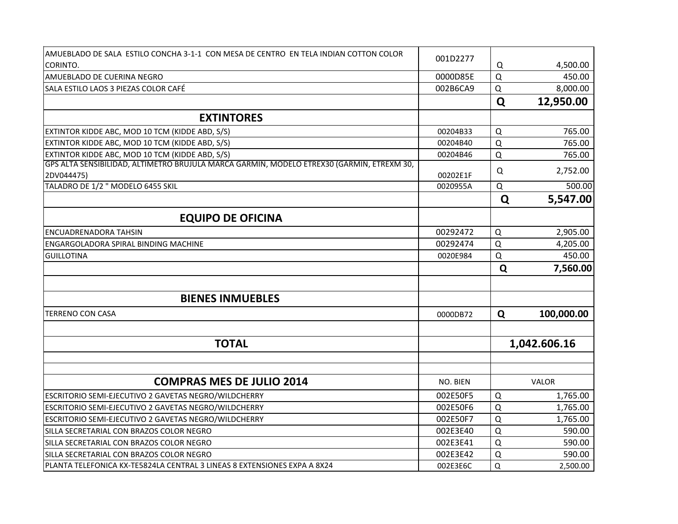| AMUEBLADO DE SALA ESTILO CONCHA 3-1-1 CON MESA DE CENTRO EN TELA INDIAN COTTON COLOR      |          |             |              |
|-------------------------------------------------------------------------------------------|----------|-------------|--------------|
| CORINTO.                                                                                  | 001D2277 | Q           | 4,500.00     |
| AMUEBLADO DE CUERINA NEGRO                                                                | 0000D85E | $\Omega$    | 450.00       |
| SALA ESTILO LAOS 3 PIEZAS COLOR CAFÉ                                                      | 002B6CA9 | Q           | 8,000.00     |
|                                                                                           |          | Q           | 12,950.00    |
| <b>EXTINTORES</b>                                                                         |          |             |              |
| EXTINTOR KIDDE ABC, MOD 10 TCM (KIDDE ABD, S/S)                                           | 00204B33 | Q           | 765.00       |
| EXTINTOR KIDDE ABC, MOD 10 TCM (KIDDE ABD, S/S)                                           | 00204B40 | $\Omega$    | 765.00       |
| EXTINTOR KIDDE ABC, MOD 10 TCM (KIDDE ABD, S/S)                                           | 00204B46 | $\Omega$    | 765.00       |
| GPS ALTA SENSIBILIDAD, ALTIMETRO BRUJULA MARCA GARMIN, MODELO ETREX30 (GARMIN, ETREXM 30, |          |             |              |
| 2DV044475)                                                                                | 00202E1F | Q           | 2,752.00     |
| TALADRO DE 1/2 " MODELO 6455 SKIL                                                         | 0020955A | Q           | 500.00       |
|                                                                                           |          | Q           | 5,547.00     |
| <b>EQUIPO DE OFICINA</b>                                                                  |          |             |              |
| <b>ENCUADRENADORA TAHSIN</b>                                                              | 00292472 | $\mathsf Q$ | 2,905.00     |
| ENGARGOLADORA SPIRAL BINDING MACHINE                                                      | 00292474 | Q           | 4,205.00     |
| <b>GUILLOTINA</b>                                                                         | 0020E984 | $\Omega$    | 450.00       |
|                                                                                           |          | Q           | 7,560.00     |
|                                                                                           |          |             |              |
| <b>BIENES INMUEBLES</b>                                                                   |          |             |              |
| <b>TERRENO CON CASA</b>                                                                   | 0000DB72 | Q           | 100,000.00   |
|                                                                                           |          |             |              |
| <b>TOTAL</b>                                                                              |          |             | 1,042.606.16 |
|                                                                                           |          |             |              |
| <b>COMPRAS MES DE JULIO 2014</b>                                                          | NO. BIEN |             | <b>VALOR</b> |
|                                                                                           |          |             |              |
| ESCRITORIO SEMI-EJECUTIVO 2 GAVETAS NEGRO/WILDCHERRY                                      | 002E50F5 | Q           | 1,765.00     |
| ESCRITORIO SEMI-EJECUTIVO 2 GAVETAS NEGRO/WILDCHERRY                                      | 002E50F6 | $\Omega$    | 1,765.00     |
| ESCRITORIO SEMI-EJECUTIVO 2 GAVETAS NEGRO/WILDCHERRY                                      | 002E50F7 | $\Omega$    | 1,765.00     |
| SILLA SECRETARIAL CON BRAZOS COLOR NEGRO                                                  | 002E3E40 | Q           | 590.00       |
| SILLA SECRETARIAL CON BRAZOS COLOR NEGRO                                                  | 002E3E41 | Q           | 590.00       |
| SILLA SECRETARIAL CON BRAZOS COLOR NEGRO                                                  | 002E3E42 | Q           | 590.00       |
| PLANTA TELEFONICA KX-TE5824LA CENTRAL 3 LINEAS 8 EXTENSIONES EXPA A 8X24                  | 002E3E6C | Q           | 2,500.00     |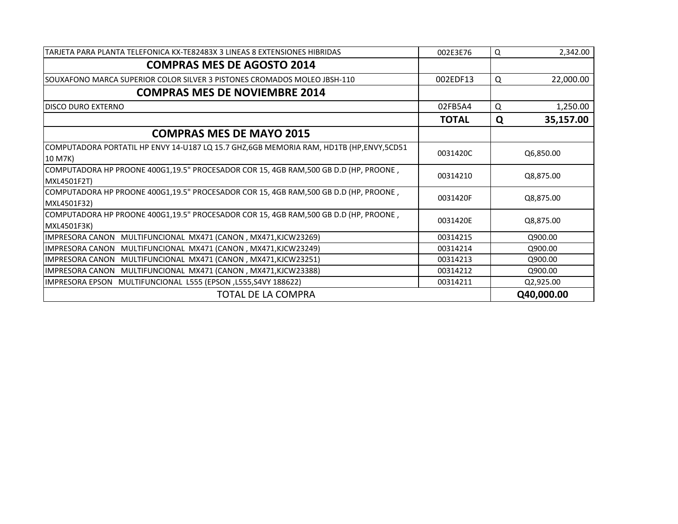| TARJETA PARA PLANTA TELEFONICA KX-TE82483X 3 LINEAS 8 EXTENSIONES HIBRIDAS                          | 002E3E76     | Q | 2,342.00   |
|-----------------------------------------------------------------------------------------------------|--------------|---|------------|
| <b>COMPRAS MES DE AGOSTO 2014</b>                                                                   |              |   |            |
| SOUXAFONO MARCA SUPERIOR COLOR SILVER 3 PISTONES CROMADOS MOLEO JBSH-110                            | 002EDF13     | Q | 22,000.00  |
| <b>COMPRAS MES DE NOVIEMBRE 2014</b>                                                                |              |   |            |
| <b>DISCO DURO EXTERNO</b>                                                                           | 02FB5A4      | Q | 1,250.00   |
|                                                                                                     | <b>TOTAL</b> | Q | 35,157.00  |
| <b>COMPRAS MES DE MAYO 2015</b>                                                                     |              |   |            |
| COMPUTADORA PORTATIL HP ENVY 14-U187 LQ 15.7 GHZ,6GB MEMORIA RAM, HD1TB (HP,ENVY,5CD51<br>10 M7K)   | 0031420C     |   | Q6,850.00  |
| COMPUTADORA HP PROONE 400G1,19.5" PROCESADOR COR 15, 4GB RAM,500 GB D.D (HP, PROONE,<br>MXL4501F2T) | 00314210     |   | Q8,875.00  |
| COMPUTADORA HP PROONE 400G1,19.5" PROCESADOR COR 15, 4GB RAM,500 GB D.D (HP, PROONE,<br>MXL4501F32) | 0031420F     |   | Q8,875.00  |
| COMPUTADORA HP PROONE 400G1,19.5" PROCESADOR COR 15, 4GB RAM,500 GB D.D (HP, PROONE,<br>MXL4501F3K) | 0031420E     |   | Q8,875.00  |
| <b>IMPRESORA CANON</b><br>MULTIFUNCIONAL MX471 (CANON, MX471, KJCW23269)                            | 00314215     |   | Q900.00    |
| <b>IMPRESORA CANON</b><br>MULTIFUNCIONAL MX471 (CANON, MX471, KJCW23249)                            | 00314214     |   | Q900.00    |
| MULTIFUNCIONAL MX471 (CANON, MX471, KJCW23251)<br><b>IMPRESORA CANON</b>                            | 00314213     |   | Q900.00    |
| IMPRESORA CANON MULTIFUNCIONAL MX471 (CANON, MX471, KJCW23388)                                      | 00314212     |   | Q900.00    |
| IMPRESORA EPSON MULTIFUNCIONAL L555 (EPSON, L555, S4VY 188622)                                      | 00314211     |   | Q2,925.00  |
| <b>TOTAL DE LA COMPRA</b>                                                                           |              |   | Q40,000.00 |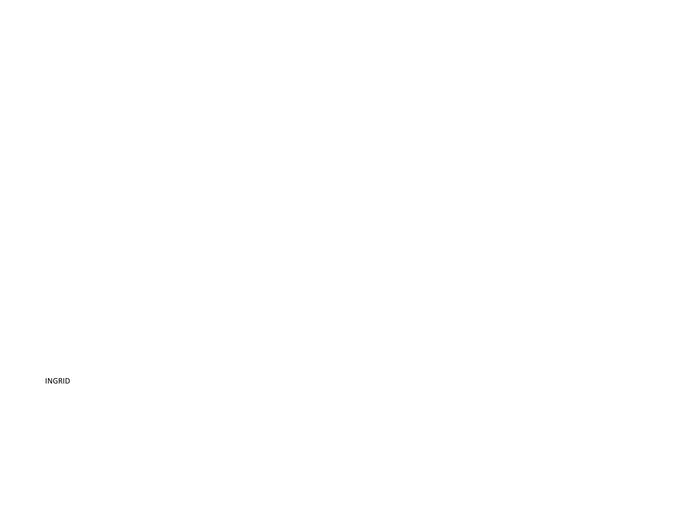INGRID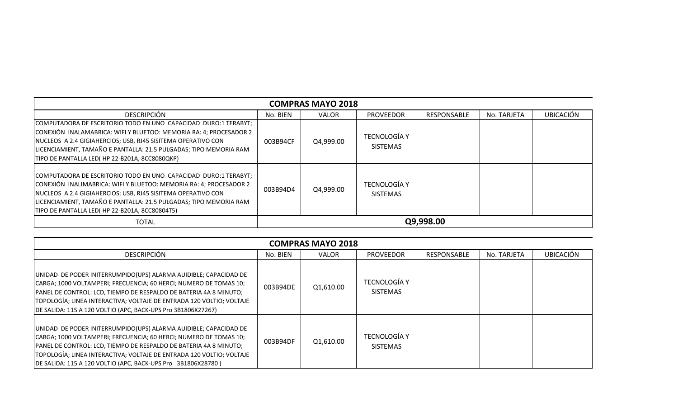|                                                                                                                                                                                                                                                                                                                             | <b>COMPRAS MAYO 2018</b> |           |                                        |                    |             |                  |  |  |  |  |
|-----------------------------------------------------------------------------------------------------------------------------------------------------------------------------------------------------------------------------------------------------------------------------------------------------------------------------|--------------------------|-----------|----------------------------------------|--------------------|-------------|------------------|--|--|--|--|
| <b>DESCRIPCIÓN</b>                                                                                                                                                                                                                                                                                                          | No. BIEN                 | VALOR     | <b>PROVEEDOR</b>                       | <b>RESPONSABLE</b> | No. TARJETA | <b>UBICACIÓN</b> |  |  |  |  |
| COMPUTADORA DE ESCRITORIO TODO EN UNO CAPACIDAD DURO:1 TERABYT;<br>CONEXIÓN INALAMABRICA: WIFI Y BLUETOO: MEMORIA RA: 4; PROCESADOR 2<br>NUCLEOS A 2.4 GIGIAHERCIOS; USB, RJ45 SISITEMA OPERATIVO CON<br>LICENCIAMIENT, TAMAÑO E PANTALLA: 21.5 PULGADAS; TIPO MEMORIA RAM<br>TIPO DE PANTALLA LED(HP 22-B201A, 8CC8080QKP) | 003B94CF                 | Q4,999.00 | <b>TECNOLOGÍA Y</b><br><b>SISTEMAS</b> |                    |             |                  |  |  |  |  |
| COMPUTADORA DE ESCRITORIO TODO EN UNO CAPACIDAD DURO:1 TERABYT;<br>CONEXIÓN INALIMABRICA: WIFI Y BLUETOO: MEMORIA RA: 4; PROCESADOR 2<br>NUCLEOS A 2.4 GIGIAHERCIOS; USB, RJ45 SISITEMA OPERATIVO CON<br>LICENCIAMIENT, TAMAÑO E PANTALLA: 21.5 PULGADAS; TIPO MEMORIA RAM<br>TIPO DE PANTALLA LED(HP 22-B201A, 8CC80804T5) | 003B94D4                 | Q4,999.00 | <b>TECNOLOGÍA Y</b><br><b>SISTEMAS</b> |                    |             |                  |  |  |  |  |
| <b>TOTAL</b>                                                                                                                                                                                                                                                                                                                |                          |           |                                        | Q9,998.00          |             |                  |  |  |  |  |

| <b>COMPRAS MAYO 2018</b>                                                                                                                                                                                                                                                                                                                           |          |           |                                        |                    |             |                  |  |  |  |
|----------------------------------------------------------------------------------------------------------------------------------------------------------------------------------------------------------------------------------------------------------------------------------------------------------------------------------------------------|----------|-----------|----------------------------------------|--------------------|-------------|------------------|--|--|--|
| <b>DESCRIPCIÓN</b>                                                                                                                                                                                                                                                                                                                                 | No. BIEN | VALOR     | <b>PROVEEDOR</b>                       | <b>RESPONSABLE</b> | No. TARJETA | <b>UBICACIÓN</b> |  |  |  |
| UNIDAD DE PODER INITERRUMPIDO(UPS) ALARMA AUIDIBLE; CAPACIDAD DE<br>CARGA; 1000 VOLTAMPERI; FRECUENCIA; 60 HERCI; NUMERO DE TOMAS 10;<br>PANEL DE CONTROL: LCD, TIEMPO DE RESPALDO DE BATERIA 4A 8 MINUTO;<br>TOPOLOGÍA; LINEA INTERACTIVA; VOLTAJE DE ENTRADA 120 VOLTIO; VOLTAJE<br>DE SALIDA: 115 A 120 VOLTIO (APC, BACK-UPS Pro 3B1806X27267) | 003B94DE | Q1,610.00 | <b>TECNOLOGÍA Y</b><br><b>SISTEMAS</b> |                    |             |                  |  |  |  |
| UNIDAD DE PODER INITERRUMPIDO(UPS) ALARMA AUIDIBLE; CAPACIDAD DE<br>CARGA; 1000 VOLTAMPERI; FRECUENCIA; 60 HERCI; NUMERO DE TOMAS 10;<br>PANEL DE CONTROL: LCD, TIEMPO DE RESPALDO DE BATERIA 4A 8 MINUTO;<br>TOPOLOGÍA; LINEA INTERACTIVA; VOLTAJE DE ENTRADA 120 VOLTIO; VOLTAJE<br>DE SALIDA: 115 A 120 VOLTIO (APC, BACK-UPS Pro 3B1806X28780) | 003B94DF | Q1,610.00 | <b>TECNOLOGÍA Y</b><br><b>SISTEMAS</b> |                    |             |                  |  |  |  |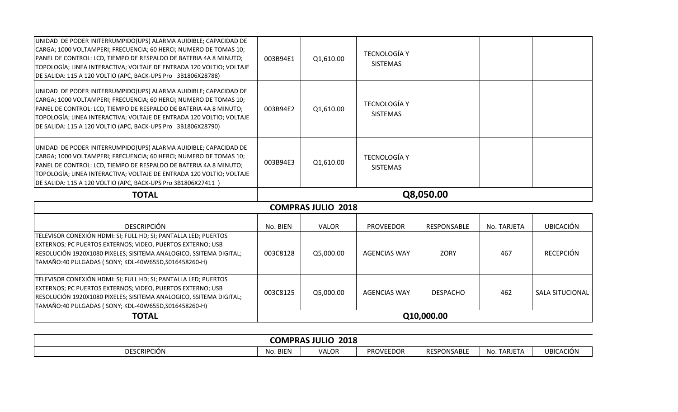| TELEVISOR CONEXIÓN HDMI: SI; FULL HD; SI; PANTALLA LED; PUERTOS<br>EXTERNOS; PC PUERTOS EXTERNOS; VIDEO, PUERTOS EXTERNO; USB<br>RESOLUCIÓN 1920X1080 PIXELES; SISITEMA ANALOGICO, SSITEMA DIGITAL;<br>TAMAÑO:40 PULGADAS ( SONY; KDL-40W655D, S016458260-H)                                                                                       | 003C8128 | Q5,000.00                 | <b>AGENCIAS WAY</b>                    | <b>ZORY</b>        | 467         | <b>RECEPCIÓN</b> |
|----------------------------------------------------------------------------------------------------------------------------------------------------------------------------------------------------------------------------------------------------------------------------------------------------------------------------------------------------|----------|---------------------------|----------------------------------------|--------------------|-------------|------------------|
| <b>DESCRIPCIÓN</b>                                                                                                                                                                                                                                                                                                                                 | No. BIEN | <b>VALOR</b>              | <b>PROVEEDOR</b>                       | <b>RESPONSABLE</b> | No. TARJETA | <b>UBICACIÓN</b> |
|                                                                                                                                                                                                                                                                                                                                                    |          | <b>COMPRAS JULIO 2018</b> |                                        |                    |             |                  |
| <b>TOTAL</b>                                                                                                                                                                                                                                                                                                                                       |          |                           |                                        | Q8,050.00          |             |                  |
| UNIDAD DE PODER INITERRUMPIDO(UPS) ALARMA AUIDIBLE; CAPACIDAD DE<br>CARGA; 1000 VOLTAMPERI; FRECUENCIA; 60 HERCI; NUMERO DE TOMAS 10;<br>PANEL DE CONTROL: LCD, TIEMPO DE RESPALDO DE BATERIA 4A 8 MINUTO;<br>TOPOLOGÍA; LINEA INTERACTIVA; VOLTAJE DE ENTRADA 120 VOLTIO; VOLTAJE<br>DE SALIDA: 115 A 120 VOLTIO (APC, BACK-UPS Pro 3B1806X27411) | 003B94E3 | Q1,610.00                 | <b>TECNOLOGÍA Y</b><br><b>SISTEMAS</b> |                    |             |                  |
| UNIDAD DE PODER INITERRUMPIDO(UPS) ALARMA AUIDIBLE; CAPACIDAD DE<br>CARGA; 1000 VOLTAMPERI; FRECUENCIA; 60 HERCI; NUMERO DE TOMAS 10;<br>PANEL DE CONTROL: LCD, TIEMPO DE RESPALDO DE BATERIA 4A 8 MINUTO;<br>TOPOLOGÍA; LINEA INTERACTIVA; VOLTAJE DE ENTRADA 120 VOLTIO; VOLTAJE<br>DE SALIDA: 115 A 120 VOLTIO (APC, BACK-UPS Pro 3B1806X28790) | 003B94E2 | Q1,610.00                 | <b>TECNOLOGÍA Y</b><br><b>SISTEMAS</b> |                    |             |                  |
| UNIDAD DE PODER INITERRUMPIDO(UPS) ALARMA AUIDIBLE; CAPACIDAD DE<br>CARGA; 1000 VOLTAMPERI; FRECUENCIA; 60 HERCI; NUMERO DE TOMAS 10;<br>PANEL DE CONTROL: LCD, TIEMPO DE RESPALDO DE BATERIA 4A 8 MINUTO;<br>TOPOLOGÍA; LINEA INTERACTIVA; VOLTAJE DE ENTRADA 120 VOLTIO; VOLTAJE<br>DE SALIDA: 115 A 120 VOLTIO (APC, BACK-UPS Pro 3B1806X28788) | 003B94E1 | Q1,610.00                 | <b>TECNOLOGÍA Y</b><br><b>SISTEMAS</b> |                    |             |                  |

| 2018<br><b>RAS JULIC</b><br><b>COMPRAS</b> |          |       |                  |                    |                                                          |                  |  |
|--------------------------------------------|----------|-------|------------------|--------------------|----------------------------------------------------------|------------------|--|
| <b>DESCRIPCIÓN</b>                         | No. BIEN | VALOR | <b>PROVEEDOR</b> | <b>RESPONSABLE</b> | TADIET/<br>No.<br>$\cdot$ 1 $\prime$ 1<br><b>IANJEIA</b> | <b>UBICACIÓN</b> |  |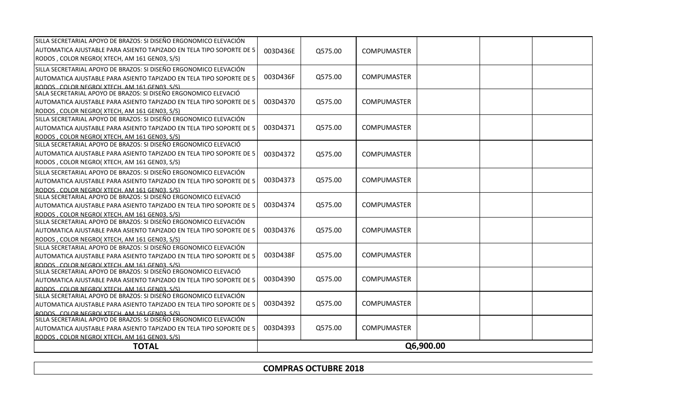| <b>TOTAL</b>                                                                                                   |          |         |                    | Q6,900.00 |  |
|----------------------------------------------------------------------------------------------------------------|----------|---------|--------------------|-----------|--|
| RODOS. COLOR NEGRO(XTECH. AM 161 GEN03. S/S)                                                                   |          |         |                    |           |  |
| AUTOMATICA AJUSTABLE PARA ASIENTO TAPIZADO EN TELA TIPO SOPORTE DE 5                                           | 003D4393 | Q575.00 | <b>COMPUMASTER</b> |           |  |
| SILLA SECRETARIAL APOYO DE BRAZOS: SI DISEÑO ERGONOMICO ELEVACIÓN                                              |          |         |                    |           |  |
| RODOS COLOR NEGROÍ XTECH AM 161 GENO3 S/S)                                                                     |          |         |                    |           |  |
| AUTOMATICA AJUSTABLE PARA ASIENTO TAPIZADO EN TELA TIPO SOPORTE DE 5                                           | 003D4392 | Q575.00 | COMPUMASTER        |           |  |
| SILLA SECRETARIAL APOYO DE BRAZOS: SI DISEÑO ERGONOMICO ELEVACIÓN                                              |          |         |                    |           |  |
| RODOS. COLOR NEGROI XTECH. AM 161 GEN03. S/S)                                                                  |          |         |                    |           |  |
| AUTOMATICA AJUSTABLE PARA ASIENTO TAPIZADO EN TELA TIPO SOPORTE DE 5                                           | 003D4390 | Q575.00 | <b>COMPUMASTER</b> |           |  |
| RODOS COLOR NEGROÍ XTECH AM 161 GENO3 S/S)<br>SILLA SECRETARIAL APOYO DE BRAZOS: SI DISEÑO ERGONOMICO ELEVACIÓ |          |         |                    |           |  |
| AUTOMATICA AJUSTABLE PARA ASIENTO TAPIZADO EN TELA TIPO SOPORTE DE 5                                           | 003D438F | Q575.00 | <b>COMPUMASTER</b> |           |  |
| SILLA SECRETARIAL APOYO DE BRAZOS: SI DISEÑO ERGONOMICO ELEVACIÓN                                              |          |         |                    |           |  |
| RODOS, COLOR NEGRO( XTECH, AM 161 GEN03, S/S)                                                                  |          |         |                    |           |  |
| AUTOMATICA AJUSTABLE PARA ASIENTO TAPIZADO EN TELA TIPO SOPORTE DE 5                                           | 003D4376 | Q575.00 | <b>COMPUMASTER</b> |           |  |
| SILLA SECRETARIAL APOYO DE BRAZOS: SI DISEÑO ERGONOMICO ELEVACIÓN                                              |          |         |                    |           |  |
| RODOS, COLOR NEGRO(XTECH, AM 161 GEN03, S/S)                                                                   |          |         |                    |           |  |
| AUTOMATICA AJUSTABLE PARA ASIENTO TAPIZADO EN TELA TIPO SOPORTE DE 5                                           | 003D4374 | Q575.00 | <b>COMPUMASTER</b> |           |  |
| SILLA SECRETARIAL APOYO DE BRAZOS: SI DISEÑO ERGONOMICO ELEVACIÓ                                               |          |         |                    |           |  |
| RODOS. COLOR NEGROI XTECH. AM 161 GEN03. S/S)                                                                  |          |         |                    |           |  |
| AUTOMATICA AJUSTABLE PARA ASIENTO TAPIZADO EN TELA TIPO SOPORTE DE 5                                           | 003D4373 | Q575.00 | <b>COMPUMASTER</b> |           |  |
| SILLA SECRETARIAL APOYO DE BRAZOS: SI DISEÑO ERGONOMICO ELEVACIÓN                                              |          |         |                    |           |  |
| RODOS, COLOR NEGRO( XTECH, AM 161 GEN03, S/S)                                                                  |          |         |                    |           |  |
| AUTOMATICA AJUSTABLE PARA ASIENTO TAPIZADO EN TELA TIPO SOPORTE DE 5                                           | 003D4372 | Q575.00 | <b>COMPUMASTER</b> |           |  |
| SILLA SECRETARIAL APOYO DE BRAZOS: SI DISEÑO ERGONOMICO ELEVACIÓ                                               |          |         |                    |           |  |
| RODOS, COLOR NEGRO(XTECH, AM 161 GEN03, S/S)                                                                   |          |         |                    |           |  |
| AUTOMATICA AJUSTABLE PARA ASIENTO TAPIZADO EN TELA TIPO SOPORTE DE 5                                           | 003D4371 | Q575.00 | <b>COMPUMASTER</b> |           |  |
| SILLA SECRETARIAL APOYO DE BRAZOS: SI DISEÑO ERGONOMICO ELEVACIÓN                                              |          |         |                    |           |  |
| RODOS, COLOR NEGRO(XTECH, AM 161 GEN03, S/S)                                                                   |          |         |                    |           |  |
| AUTOMATICA AJUSTABLE PARA ASIENTO TAPIZADO EN TELA TIPO SOPORTE DE 5                                           | 003D4370 | Q575.00 | <b>COMPUMASTER</b> |           |  |
| SALA SECRETARIAL APOYO DE BRAZOS: SI DISEÑO ERGONOMICO ELEVACIÓ                                                |          |         |                    |           |  |
| RODOS COLOR NEGROI XTECH AM 161 GEN03 S/S)                                                                     |          |         |                    |           |  |
| AUTOMATICA AJUSTABLE PARA ASIENTO TAPIZADO EN TELA TIPO SOPORTE DE 5                                           | 003D436F | Q575.00 | <b>COMPUMASTER</b> |           |  |
| SILLA SECRETARIAL APOYO DE BRAZOS: SI DISEÑO ERGONOMICO ELEVACIÓN                                              |          |         |                    |           |  |
| RODOS, COLOR NEGRO(XTECH, AM 161 GEN03, S/S)                                                                   |          |         |                    |           |  |
| AUTOMATICA AJUSTABLE PARA ASIENTO TAPIZADO EN TELA TIPO SOPORTE DE 5                                           | 003D436E | Q575.00 | <b>COMPUMASTER</b> |           |  |
| SILLA SECRETARIAL APOYO DE BRAZOS: SI DISEÑO ERGONOMICO ELEVACIÓN                                              |          |         |                    |           |  |

| $\sqrt{2018}$<br>' IMDI<br>,,, |  |
|--------------------------------|--|
|                                |  |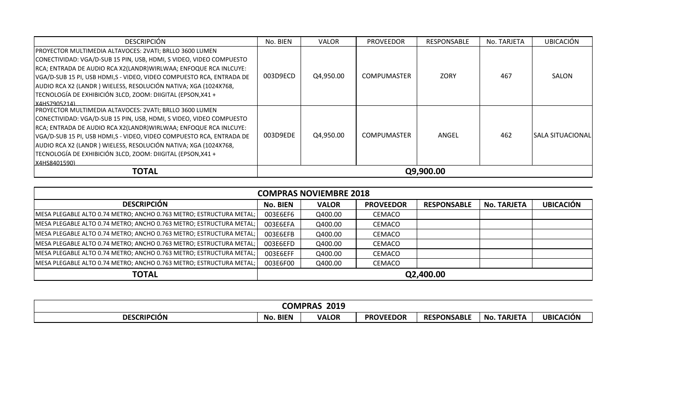| <b>DESCRIPCIÓN</b>                                                    | No. BIEN  | <b>VALOR</b> | <b>PROVEEDOR</b>   | RESPONSABLE | No. TARJETA | <b>UBICACIÓN</b>  |
|-----------------------------------------------------------------------|-----------|--------------|--------------------|-------------|-------------|-------------------|
| PROYECTOR MULTIMEDIA ALTAVOCES: 2VATI; BRLLO 3600 LUMEN               |           |              |                    |             |             |                   |
| CONECTIVIDAD: VGA/D-SUB 15 PIN, USB, HDMI, S VIDEO, VIDEO COMPUESTO   |           |              |                    |             |             |                   |
| RCA; ENTRADA DE AUDIO RCA X2(LANDR) WIRLWAA; ENFOQUE RCA INLCUYE:     |           |              |                    |             |             |                   |
| VGA/D-SUB 15 PI, USB HDMI, S - VIDEO, VIDEO COMPUESTO RCA, ENTRADA DE | 003D9ECD  | Q4,950.00    | <b>COMPUMASTER</b> | <b>ZORY</b> | 467         | SALON             |
| AUDIO RCA X2 (LANDR) WIELESS, RESOLUCIÓN NATIVA; XGA (1024X768,       |           |              |                    |             |             |                   |
| TECNOLOGÍA DE EXHIBICIÓN 3LCD, ZOOM: DIIGITAL (EPSON, X41 +           |           |              |                    |             |             |                   |
| X4HS7905214)                                                          |           |              |                    |             |             |                   |
| PROYECTOR MULTIMEDIA ALTAVOCES: 2VATI; BRLLO 3600 LUMEN               |           |              |                    |             |             |                   |
| CONECTIVIDAD: VGA/D-SUB 15 PIN, USB, HDMI, S VIDEO, VIDEO COMPUESTO   |           |              |                    |             |             |                   |
| RCA; ENTRADA DE AUDIO RCA X2(LANDR) WIRLWAA; ENFOQUE RCA INLCUYE:     |           |              |                    |             |             |                   |
| VGA/D-SUB 15 PI, USB HDMI,S - VIDEO, VIDEO COMPUESTO RCA, ENTRADA DE  | 003D9EDE  | Q4,950.00    | <b>COMPUMASTER</b> | ANGEL       | 462         | ISALA SITUACIONAL |
| AUDIO RCA X2 (LANDR) WIELESS, RESOLUCIÓN NATIVA; XGA (1024X768,       |           |              |                    |             |             |                   |
| TECNOLOGÍA DE EXHIBICIÓN 3LCD, ZOOM: DIIGITAL (EPSON, X41 +           |           |              |                    |             |             |                   |
| X4HS8401590)                                                          |           |              |                    |             |             |                   |
| <b>TOTAL</b>                                                          | Q9,900.00 |              |                    |             |             |                   |

| <b>COMPRAS NOVIEMBRE 2018</b>                                       |           |              |                  |                    |             |                  |  |  |  |  |
|---------------------------------------------------------------------|-----------|--------------|------------------|--------------------|-------------|------------------|--|--|--|--|
| <b>DESCRIPCIÓN</b>                                                  | No. BIEN  | <b>VALOR</b> | <b>PROVEEDOR</b> | <b>RESPONSABLE</b> | No. TARJETA | <b>UBICACIÓN</b> |  |  |  |  |
| MESA PLEGABLE ALTO 0.74 METRO; ANCHO 0.763 METRO; ESTRUCTURA METAL; | 003E6EF6  | Q400.00      | CEMACO           |                    |             |                  |  |  |  |  |
| MESA PLEGABLE ALTO 0.74 METRO; ANCHO 0.763 METRO; ESTRUCTURA METAL; | 003E6EFA  | Q400.00      | <b>CEMACO</b>    |                    |             |                  |  |  |  |  |
| MESA PLEGABLE ALTO 0.74 METRO; ANCHO 0.763 METRO; ESTRUCTURA METAL; | 003E6EFB  | Q400.00      | CEMACO           |                    |             |                  |  |  |  |  |
| MESA PLEGABLE ALTO 0.74 METRO; ANCHO 0.763 METRO; ESTRUCTURA METAL; | 003E6EFD  | Q400.00      | CEMACO           |                    |             |                  |  |  |  |  |
| MESA PLEGABLE ALTO 0.74 METRO; ANCHO 0.763 METRO; ESTRUCTURA METAL; | 003E6EFF  | Q400.00      | <b>CEMACO</b>    |                    |             |                  |  |  |  |  |
| MESA PLEGABLE ALTO 0.74 METRO; ANCHO 0.763 METRO; ESTRUCTURA METAL; | 003E6F00  | Q400.00      | <b>CEMACO</b>    |                    |             |                  |  |  |  |  |
| <b>TOTAL</b>                                                        | Q2,400.00 |              |                  |                    |             |                  |  |  |  |  |

|                    | <b>COMPP</b>      | 2019<br>"KAJ |                  |                          |                       |           |
|--------------------|-------------------|--------------|------------------|--------------------------|-----------------------|-----------|
| <b>DESCRIPCIÓN</b> | <b>BIEN</b><br>No | <b>VALOR</b> | <b>PROVEEDOR</b> | ONSABLE<br><b>RESPOI</b> | <b>TARJETA</b><br>No. | UBICACIÓN |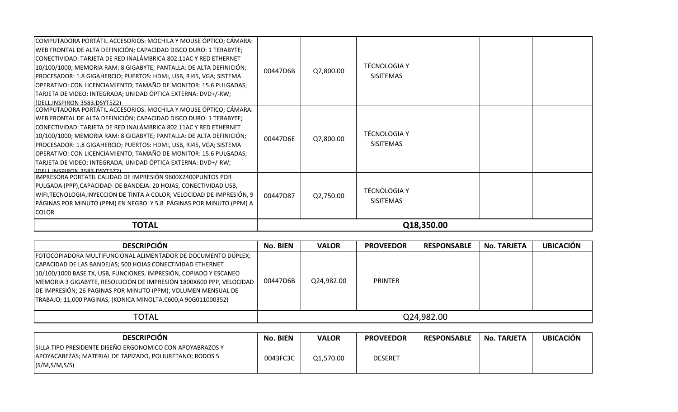| <b>TOTAL</b>                                                                                                                                                                                                                                                                                                                                                                                                                                                                                                                | Q18,350.00 |           |                                         |  |  |  |
|-----------------------------------------------------------------------------------------------------------------------------------------------------------------------------------------------------------------------------------------------------------------------------------------------------------------------------------------------------------------------------------------------------------------------------------------------------------------------------------------------------------------------------|------------|-----------|-----------------------------------------|--|--|--|
| IMPRESORA PORTATIL CALIDAD DE IMPRESIÓN 9600X2400PUNTOS POR<br>PULGADA (PPP), CAPACIDAD DE BANDEJA: 20 HOJAS, CONECTIVIDAD USB,<br>WIFI, TECNOLOGIA, INYECCION DE TINTA A COLOR; VELOCIDAD DE IMPRESIÓN, 9<br>PÁGINAS POR MINUTO (PPM) EN NEGRO Y 5.8 PÁGINAS POR MINUTO (PPM) A<br><b>COLOR</b>                                                                                                                                                                                                                            | 00447D87   | Q2,750.00 | <b>TÉCNOLOGIA Y</b><br><b>SISITEMAS</b> |  |  |  |
| COMPUTADORA PORTÁTIL ACCESORIOS: MOCHILA Y MOUSE ÓPTICO; CÁMARA:<br>WEB FRONTAL DE ALTA DEFINICIÓN; CAPACIDAD DISCO DURO: 1 TERABYTE;<br>CONECTIVIDAD: TARJETA DE RED INALÁMBRICA 802.11AC Y RED ETHERNET<br>10/100/1000; MEMORIA RAM: 8 GIGABYTE; PANTALLA: DE ALTA DEFINICIÓN;<br>PROCESADOR: 1.8 GIGAHERCIO; PUERTOS: HDMI, USB, RJ45, VGA; SISTEMA<br>OPERATIVO: CON LICENCIAMIENTO; TAMAÑO DE MONITOR: 15.6 PULGADAS;<br>TARJETA DE VIDEO: INTEGRADA; UNIDAD ÓPTICA EXTERNA: DVD+/-RW;<br>(DELL INSPIRON 3583 DSYT572) | 00447D6E   | Q7,800.00 | <b>TÉCNOLOGIA Y</b><br><b>SISITEMAS</b> |  |  |  |
| COMPUTADORA PORTÁTIL ACCESORIOS: MOCHILA Y MOUSE ÓPTICO; CÁMARA:<br>WEB FRONTAL DE ALTA DEFINICIÓN; CAPACIDAD DISCO DURO: 1 TERABYTE;<br>CONECTIVIDAD: TARJETA DE RED INALÁMBRICA 802.11AC Y RED ETHERNET<br>10/100/1000; MEMORIA RAM: 8 GIGABYTE; PANTALLA: DE ALTA DEFINICIÓN;<br>PROCESADOR: 1.8 GIGAHERCIO; PUERTOS: HDMI, USB, RJ45, VGA; SISTEMA<br>OPERATIVO: CON LICENCIAMIENTO; TAMAÑO DE MONITOR: 15.6 PULGADAS;<br>TARJETA DE VIDEO: INTEGRADA; UNIDAD ÓPTICA EXTERNA: DVD+/-RW;<br>(DELL.INSPIRON 3583.DSYT5Z2) | 00447D6B   | Q7,800.00 | <b>TÉCNOLOGIA Y</b><br><b>SISITEMAS</b> |  |  |  |

| <b>DESCRIPCION</b>                                                                                                                                                                                                                                                                                                                                                                                        | <b>No. BIEN</b> | <b>VALOR</b> | <b>PROVEEDOR</b> | <b>RESPONSABLE</b> | <b>No. TARJETA</b> | <b>UBICACIÓN</b> |  |
|-----------------------------------------------------------------------------------------------------------------------------------------------------------------------------------------------------------------------------------------------------------------------------------------------------------------------------------------------------------------------------------------------------------|-----------------|--------------|------------------|--------------------|--------------------|------------------|--|
| FOTOCOPIADORA MULTIFUNCIONAL ALIMENTADOR DE DOCUMENTO DÚPLEX;<br>CAPACIDAD DE LAS BANDEJAS; 500 HOJAS CONECTIVIDAD ETHERNET<br>10/100/1000 BASE TX, USB, FUNCIONES, IMPRESIÓN, COPIADO Y ESCANEO<br>MEMORIA 3 GIGABYTE, RESOLUCIÓN DE IMPRESIÓN 1800X600 PPP, VELOCIDAD<br>DE IMPRESIÓN; 26 PAGINAS POR MINUTO (PPM); VOLUMEN MENSUAL DE<br>TRABAJO; 11,000 PAGINAS, (KONICA MINOLTA,C600,A 90G011000352) | 00447D6B        | Q24,982.00   | <b>PRINTER</b>   |                    |                    |                  |  |
| <b>TOTAL</b>                                                                                                                                                                                                                                                                                                                                                                                              | Q24.982.00      |              |                  |                    |                    |                  |  |

| <b>DESCRIPCIÓN</b>                                                                                                                       | No. BIEN | <b>VALOR</b> | <b>PROVEEDOR</b> | <b>RESPONSABLE</b> | <b>No. TARJETA</b> | <b>UBICACIÓN</b> |
|------------------------------------------------------------------------------------------------------------------------------------------|----------|--------------|------------------|--------------------|--------------------|------------------|
| SILLA TIPO PRESIDENTE DISEÑO ERGONOMICO CON APOYABRAZOS Y<br>APOYACABEZAS; MATERIAL DE TAPIZADO, POLIURETANO; RODOS 5<br>(S/M, S/M, S/S) | 0043FC3C | Q1,570.00    | <b>DESERET</b>   |                    |                    |                  |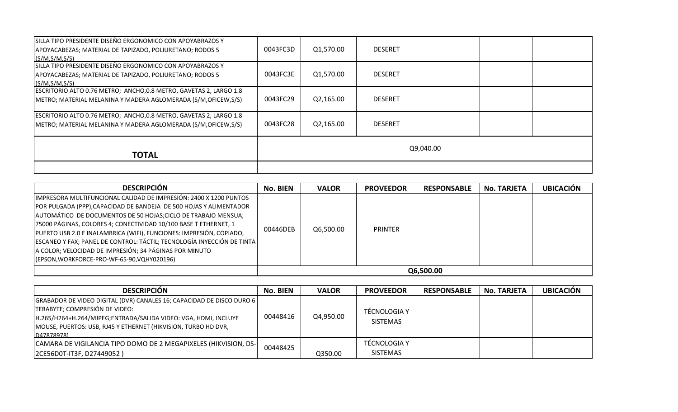| SILLA TIPO PRESIDENTE DISEÑO ERGONOMICO CON APOYABRAZOS Y<br>APOYACABEZAS; MATERIAL DE TAPIZADO, POLIURETANO; RODOS 5<br>(S/M.S/M.S/S) | 0043FC3D  | Q1,570.00 | <b>DESERET</b> |  |  |  |  |
|----------------------------------------------------------------------------------------------------------------------------------------|-----------|-----------|----------------|--|--|--|--|
| SILLA TIPO PRESIDENTE DISEÑO ERGONOMICO CON APOYABRAZOS Y<br>APOYACABEZAS; MATERIAL DE TAPIZADO, POLIURETANO; RODOS 5<br>(S/M.S/M.S/S) | 0043FC3E  | Q1,570.00 | <b>DESERET</b> |  |  |  |  |
| ESCRITORIO ALTO 0.76 METRO; ANCHO, 0.8 METRO, GAVETAS 2, LARGO 1.8<br>METRO; MATERIAL MELANINA Y MADERA AGLOMERADA (S/M, OFICEW, S/S)  | 0043FC29  | Q2,165.00 | <b>DESERET</b> |  |  |  |  |
| ESCRITORIO ALTO 0.76 METRO; ANCHO,0.8 METRO, GAVETAS 2, LARGO 1.8<br>METRO; MATERIAL MELANINA Y MADERA AGLOMERADA (S/M, OFICEW, S/S)   | 0043FC28  | Q2,165.00 | <b>DESERET</b> |  |  |  |  |
| <b>TOTAL</b>                                                                                                                           | Q9,040.00 |           |                |  |  |  |  |
|                                                                                                                                        |           |           |                |  |  |  |  |

| <b>DESCRIPCIÓN</b>                                                                                                                                                                                                                                                                                                                                                                                                                                                                        | No. BIEN | <b>VALOR</b> | <b>PROVEEDOR</b> | <b>RESPONSABLE</b> | <b>No. TARJETA</b> | <b>UBICACIÓN</b> |  |  |
|-------------------------------------------------------------------------------------------------------------------------------------------------------------------------------------------------------------------------------------------------------------------------------------------------------------------------------------------------------------------------------------------------------------------------------------------------------------------------------------------|----------|--------------|------------------|--------------------|--------------------|------------------|--|--|
| IIMPRESORA MULTIFUNCIONAL CALIDAD DE IMPRESIÓN: 2400 X 1200 PUNTOS<br>POR PULGADA (PPP), CAPACIDAD DE BANDEJA DE 500 HOJAS Y ALIMENTADOR<br>AUTOMÁTICO DE DOCUMENTOS DE 50 HOJAS; CICLO DE TRABAJO MENSUA;<br>75000 PÁGINAS, COLORES 4; CONECTIVIDAD 10/100 BASE T ETHERNET, 1<br>PUERTO USB 2.0 E INALAMBRICA (WIFI), FUNCIONES: IMPRESIÓN, COPIADO,<br>ESCANEO Y FAX; PANEL DE CONTROL: TÁCTIL; TECNOLOGÍA INYECCIÓN DE TINTA<br>A COLOR; VELOCIDAD DE IMPRESIÓN; 34 PÁGINAS POR MINUTO | 00446DEB | Q6,500.00    | <b>PRINTER</b>   |                    |                    |                  |  |  |
| (EPSON, WORKFORCE-PRO-WF-65-90, VQHY020196)                                                                                                                                                                                                                                                                                                                                                                                                                                               |          |              |                  |                    |                    |                  |  |  |
|                                                                                                                                                                                                                                                                                                                                                                                                                                                                                           |          | Q6,500.00    |                  |                    |                    |                  |  |  |

| <b>DESCRIPCION</b>                                                                                                                                                                                                                                         | No. BIEN | <b>VALOR</b> | <b>PROVEEDOR</b>                | <b>RESPONSABLE</b> | <b>No. TARJETA</b> | <b>UBICACIÓN</b> |
|------------------------------------------------------------------------------------------------------------------------------------------------------------------------------------------------------------------------------------------------------------|----------|--------------|---------------------------------|--------------------|--------------------|------------------|
| GRABADOR DE VIDEO DIGITAL (DVR) CANALES 16; CAPACIDAD DE DISCO DURO 6<br>TERABYTE; COMPRESIÓN DE VIDEO:<br>H.265/H264+H.264/MJPEG;ENTRADA/SALIDA VIDEO: VGA, HDMI, INCLUYE<br>MOUSE, PUERTOS: USB, RJ45 Y ETHERNET (HIKVISION, TURBO HD DVR,<br>D47878978) | 00448416 | Q4,950.00    | TÉCNOLOGIA Y<br><b>SISTEMAS</b> |                    |                    |                  |
| CAMARA DE VIGILANCIA TIPO DOMO DE 2 MEGAPIXELES (HIKVISION, DS-<br>[2CE56D0T-IT3F, D27449052]                                                                                                                                                              | 00448425 | Q350.00      | TÉCNOLOGIA Y<br><b>SISTEMAS</b> |                    |                    |                  |